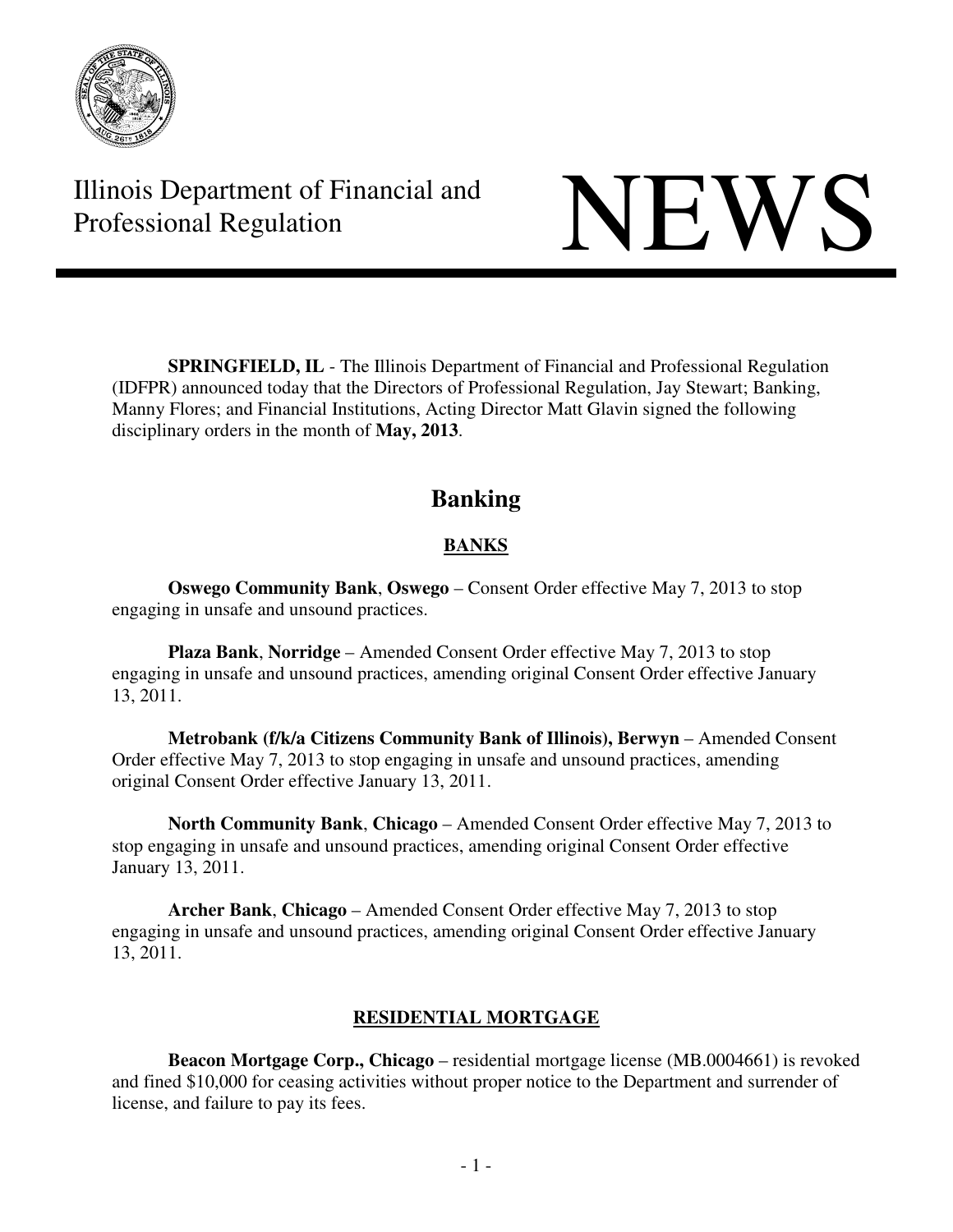

Illinois Department of Financial and Illinois Department of Financial and<br>Professional Regulation

**SPRINGFIELD, IL** - The Illinois Department of Financial and Professional Regulation (IDFPR) announced today that the Directors of Professional Regulation, Jay Stewart; Banking, Manny Flores; and Financial Institutions, Acting Director Matt Glavin signed the following disciplinary orders in the month of **May, 2013**.

# **Banking**

## **BANKS**

 **Oswego Community Bank**, **Oswego** – Consent Order effective May 7, 2013 to stop engaging in unsafe and unsound practices.

 **Plaza Bank**, **Norridge** – Amended Consent Order effective May 7, 2013 to stop engaging in unsafe and unsound practices, amending original Consent Order effective January 13, 2011.

 **Metrobank (f/k/a Citizens Community Bank of Illinois), Berwyn** – Amended Consent Order effective May 7, 2013 to stop engaging in unsafe and unsound practices, amending original Consent Order effective January 13, 2011.

 **North Community Bank**, **Chicago** – Amended Consent Order effective May 7, 2013 to stop engaging in unsafe and unsound practices, amending original Consent Order effective January 13, 2011.

 **Archer Bank**, **Chicago** – Amended Consent Order effective May 7, 2013 to stop engaging in unsafe and unsound practices, amending original Consent Order effective January 13, 2011.

## **RESIDENTIAL MORTGAGE**

**Beacon Mortgage Corp., Chicago** – residential mortgage license (MB.0004661) is revoked and fined \$10,000 for ceasing activities without proper notice to the Department and surrender of license, and failure to pay its fees.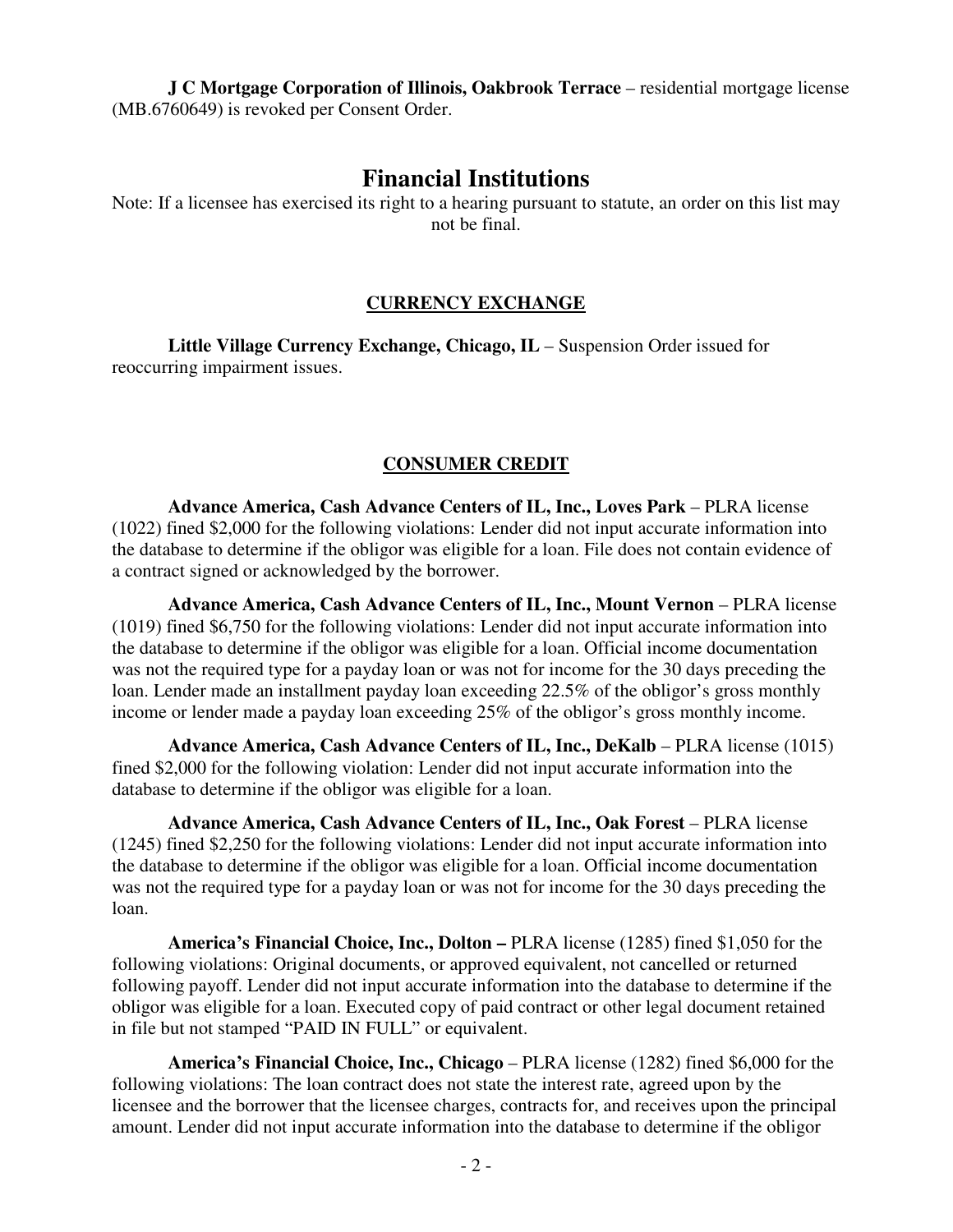**J C Mortgage Corporation of Illinois, Oakbrook Terrace – residential mortgage license** (MB.6760649) is revoked per Consent Order.

### **Financial Institutions**

Note: If a licensee has exercised its right to a hearing pursuant to statute, an order on this list may not be final.

#### **CURRENCY EXCHANGE**

 **Little Village Currency Exchange, Chicago, IL** – Suspension Order issued for reoccurring impairment issues.

#### **CONSUMER CREDIT**

 **Advance America, Cash Advance Centers of IL, Inc., Loves Park** – PLRA license (1022) fined \$2,000 for the following violations: Lender did not input accurate information into the database to determine if the obligor was eligible for a loan. File does not contain evidence of a contract signed or acknowledged by the borrower.

**Advance America, Cash Advance Centers of IL, Inc., Mount Vernon - PLRA license** (1019) fined \$6,750 for the following violations: Lender did not input accurate information into the database to determine if the obligor was eligible for a loan. Official income documentation was not the required type for a payday loan or was not for income for the 30 days preceding the loan. Lender made an installment payday loan exceeding 22.5% of the obligor's gross monthly income or lender made a payday loan exceeding 25% of the obligor's gross monthly income.

**Advance America, Cash Advance Centers of IL, Inc., DeKalb – PLRA license (1015)** fined \$2,000 for the following violation: Lender did not input accurate information into the database to determine if the obligor was eligible for a loan.

**Advance America, Cash Advance Centers of IL, Inc., Oak Forest - PLRA license** (1245) fined \$2,250 for the following violations: Lender did not input accurate information into the database to determine if the obligor was eligible for a loan. Official income documentation was not the required type for a payday loan or was not for income for the 30 days preceding the loan.

 **America's Financial Choice, Inc., Dolton –** PLRA license (1285) fined \$1,050 for the following violations: Original documents, or approved equivalent, not cancelled or returned following payoff. Lender did not input accurate information into the database to determine if the obligor was eligible for a loan. Executed copy of paid contract or other legal document retained in file but not stamped "PAID IN FULL" or equivalent.

 **America's Financial Choice, Inc., Chicago** – PLRA license (1282) fined \$6,000 for the following violations: The loan contract does not state the interest rate, agreed upon by the licensee and the borrower that the licensee charges, contracts for, and receives upon the principal amount. Lender did not input accurate information into the database to determine if the obligor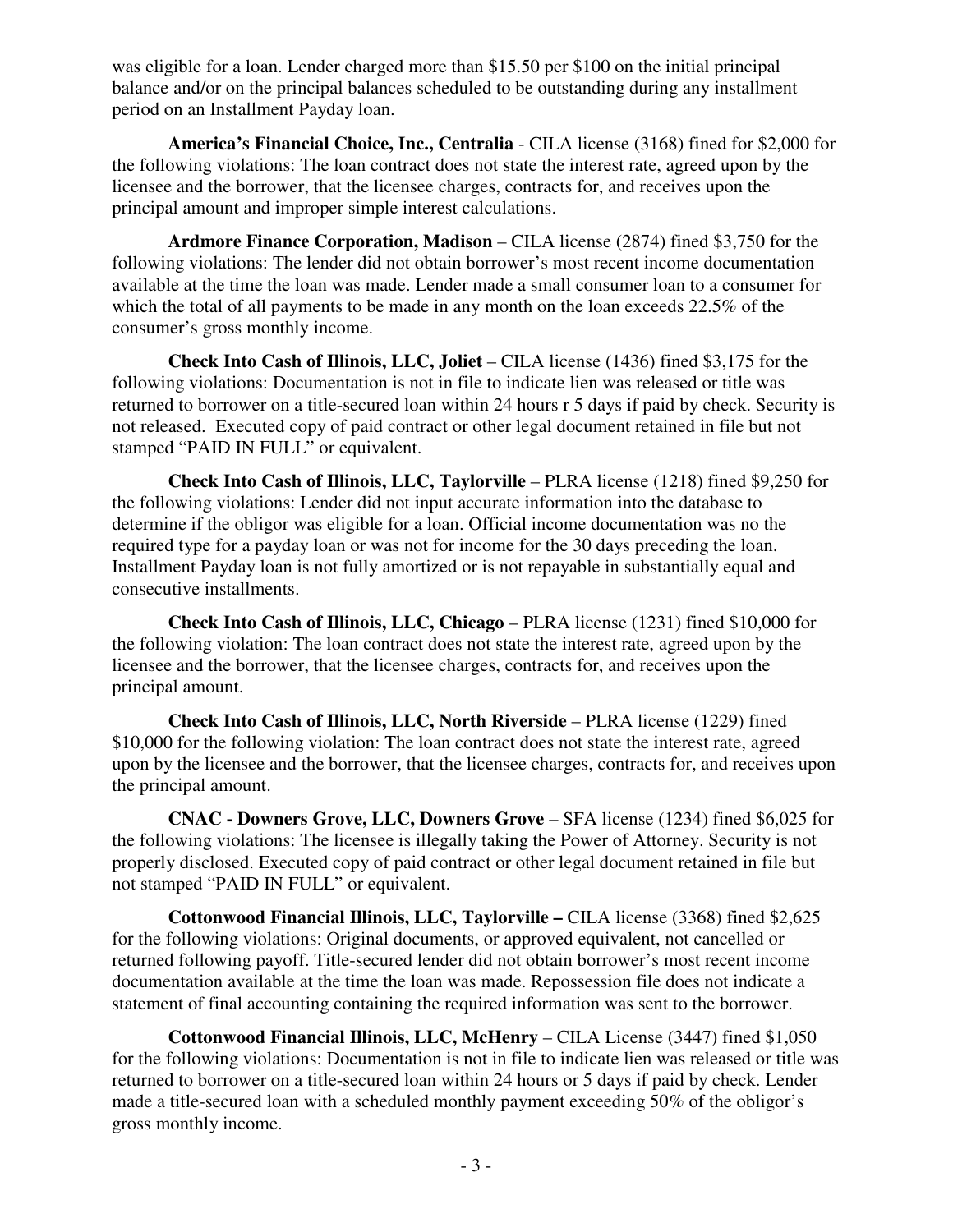was eligible for a loan. Lender charged more than \$15.50 per \$100 on the initial principal balance and/or on the principal balances scheduled to be outstanding during any installment period on an Installment Payday loan.

 **America's Financial Choice, Inc., Centralia** - CILA license (3168) fined for \$2,000 for the following violations: The loan contract does not state the interest rate, agreed upon by the licensee and the borrower, that the licensee charges, contracts for, and receives upon the principal amount and improper simple interest calculations.

 **Ardmore Finance Corporation, Madison** – CILA license (2874) fined \$3,750 for the following violations: The lender did not obtain borrower's most recent income documentation available at the time the loan was made. Lender made a small consumer loan to a consumer for which the total of all payments to be made in any month on the loan exceeds 22.5% of the consumer's gross monthly income.

 **Check Into Cash of Illinois, LLC, Joliet** – CILA license (1436) fined \$3,175 for the following violations: Documentation is not in file to indicate lien was released or title was returned to borrower on a title-secured loan within 24 hours r 5 days if paid by check. Security is not released. Executed copy of paid contract or other legal document retained in file but not stamped "PAID IN FULL" or equivalent.

 **Check Into Cash of Illinois, LLC, Taylorville** – PLRA license (1218) fined \$9,250 for the following violations: Lender did not input accurate information into the database to determine if the obligor was eligible for a loan. Official income documentation was no the required type for a payday loan or was not for income for the 30 days preceding the loan. Installment Payday loan is not fully amortized or is not repayable in substantially equal and consecutive installments.

 **Check Into Cash of Illinois, LLC, Chicago** – PLRA license (1231) fined \$10,000 for the following violation: The loan contract does not state the interest rate, agreed upon by the licensee and the borrower, that the licensee charges, contracts for, and receives upon the principal amount.

 **Check Into Cash of Illinois, LLC, North Riverside** – PLRA license (1229) fined \$10,000 for the following violation: The loan contract does not state the interest rate, agreed upon by the licensee and the borrower, that the licensee charges, contracts for, and receives upon the principal amount.

 **CNAC - Downers Grove, LLC, Downers Grove** – SFA license (1234) fined \$6,025 for the following violations: The licensee is illegally taking the Power of Attorney. Security is not properly disclosed. Executed copy of paid contract or other legal document retained in file but not stamped "PAID IN FULL" or equivalent.

 **Cottonwood Financial Illinois, LLC, Taylorville –** CILA license (3368) fined \$2,625 for the following violations: Original documents, or approved equivalent, not cancelled or returned following payoff. Title-secured lender did not obtain borrower's most recent income documentation available at the time the loan was made. Repossession file does not indicate a statement of final accounting containing the required information was sent to the borrower.

 **Cottonwood Financial Illinois, LLC, McHenry** – CILA License (3447) fined \$1,050 for the following violations: Documentation is not in file to indicate lien was released or title was returned to borrower on a title-secured loan within 24 hours or 5 days if paid by check. Lender made a title-secured loan with a scheduled monthly payment exceeding 50% of the obligor's gross monthly income.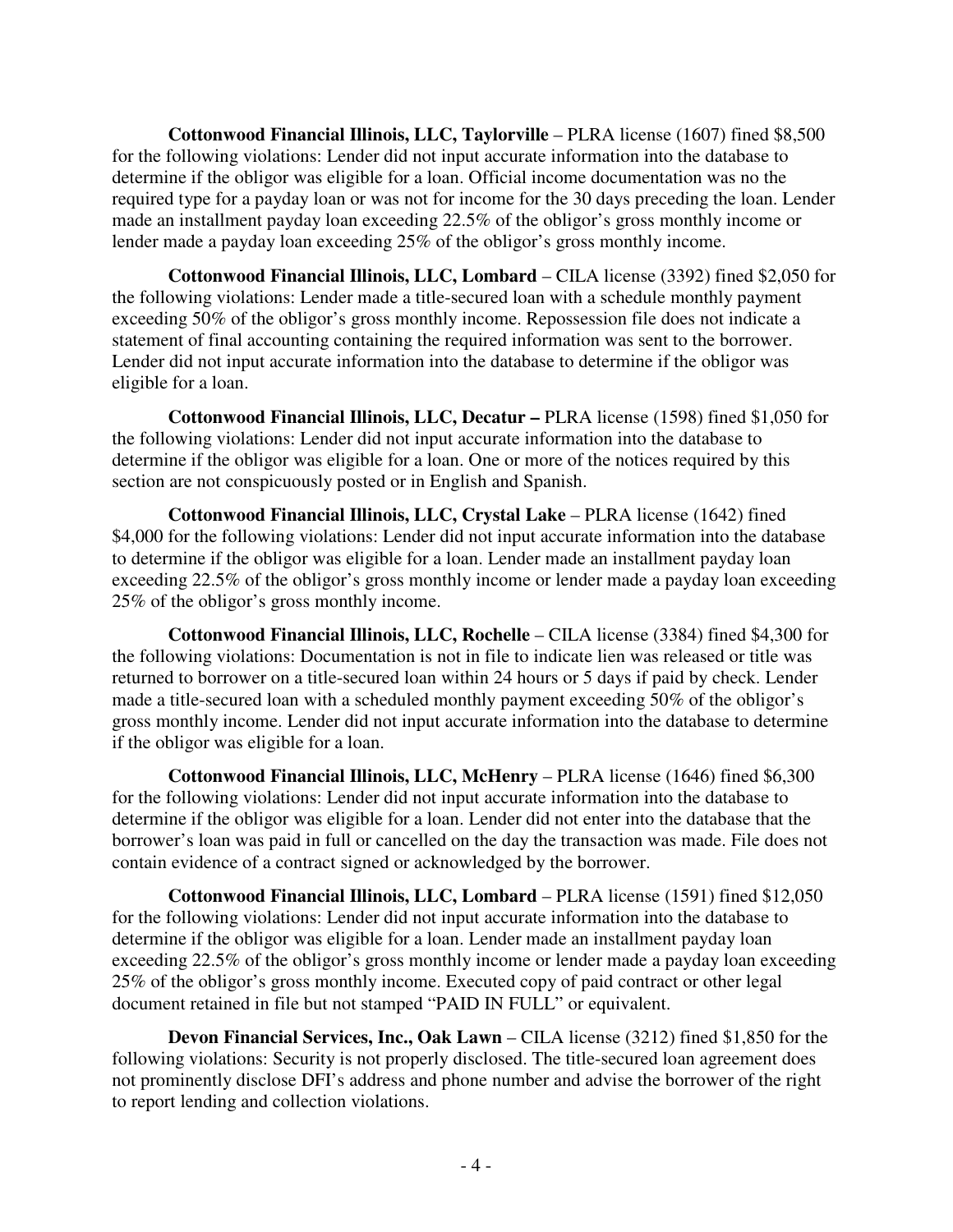**Cottonwood Financial Illinois, LLC, Taylorville** – PLRA license (1607) fined \$8,500 for the following violations: Lender did not input accurate information into the database to determine if the obligor was eligible for a loan. Official income documentation was no the required type for a payday loan or was not for income for the 30 days preceding the loan. Lender made an installment payday loan exceeding 22.5% of the obligor's gross monthly income or lender made a payday loan exceeding 25% of the obligor's gross monthly income.

 **Cottonwood Financial Illinois, LLC, Lombard** – CILA license (3392) fined \$2,050 for the following violations: Lender made a title-secured loan with a schedule monthly payment exceeding 50% of the obligor's gross monthly income. Repossession file does not indicate a statement of final accounting containing the required information was sent to the borrower. Lender did not input accurate information into the database to determine if the obligor was eligible for a loan.

 **Cottonwood Financial Illinois, LLC, Decatur –** PLRA license (1598) fined \$1,050 for the following violations: Lender did not input accurate information into the database to determine if the obligor was eligible for a loan. One or more of the notices required by this section are not conspicuously posted or in English and Spanish.

 **Cottonwood Financial Illinois, LLC, Crystal Lake** – PLRA license (1642) fined \$4,000 for the following violations: Lender did not input accurate information into the database to determine if the obligor was eligible for a loan. Lender made an installment payday loan exceeding 22.5% of the obligor's gross monthly income or lender made a payday loan exceeding 25% of the obligor's gross monthly income.

 **Cottonwood Financial Illinois, LLC, Rochelle** – CILA license (3384) fined \$4,300 for the following violations: Documentation is not in file to indicate lien was released or title was returned to borrower on a title-secured loan within 24 hours or 5 days if paid by check. Lender made a title-secured loan with a scheduled monthly payment exceeding 50% of the obligor's gross monthly income. Lender did not input accurate information into the database to determine if the obligor was eligible for a loan.

 **Cottonwood Financial Illinois, LLC, McHenry** – PLRA license (1646) fined \$6,300 for the following violations: Lender did not input accurate information into the database to determine if the obligor was eligible for a loan. Lender did not enter into the database that the borrower's loan was paid in full or cancelled on the day the transaction was made. File does not contain evidence of a contract signed or acknowledged by the borrower.

 **Cottonwood Financial Illinois, LLC, Lombard** – PLRA license (1591) fined \$12,050 for the following violations: Lender did not input accurate information into the database to determine if the obligor was eligible for a loan. Lender made an installment payday loan exceeding 22.5% of the obligor's gross monthly income or lender made a payday loan exceeding 25% of the obligor's gross monthly income. Executed copy of paid contract or other legal document retained in file but not stamped "PAID IN FULL" or equivalent.

 **Devon Financial Services, Inc., Oak Lawn** – CILA license (3212) fined \$1,850 for the following violations: Security is not properly disclosed. The title-secured loan agreement does not prominently disclose DFI's address and phone number and advise the borrower of the right to report lending and collection violations.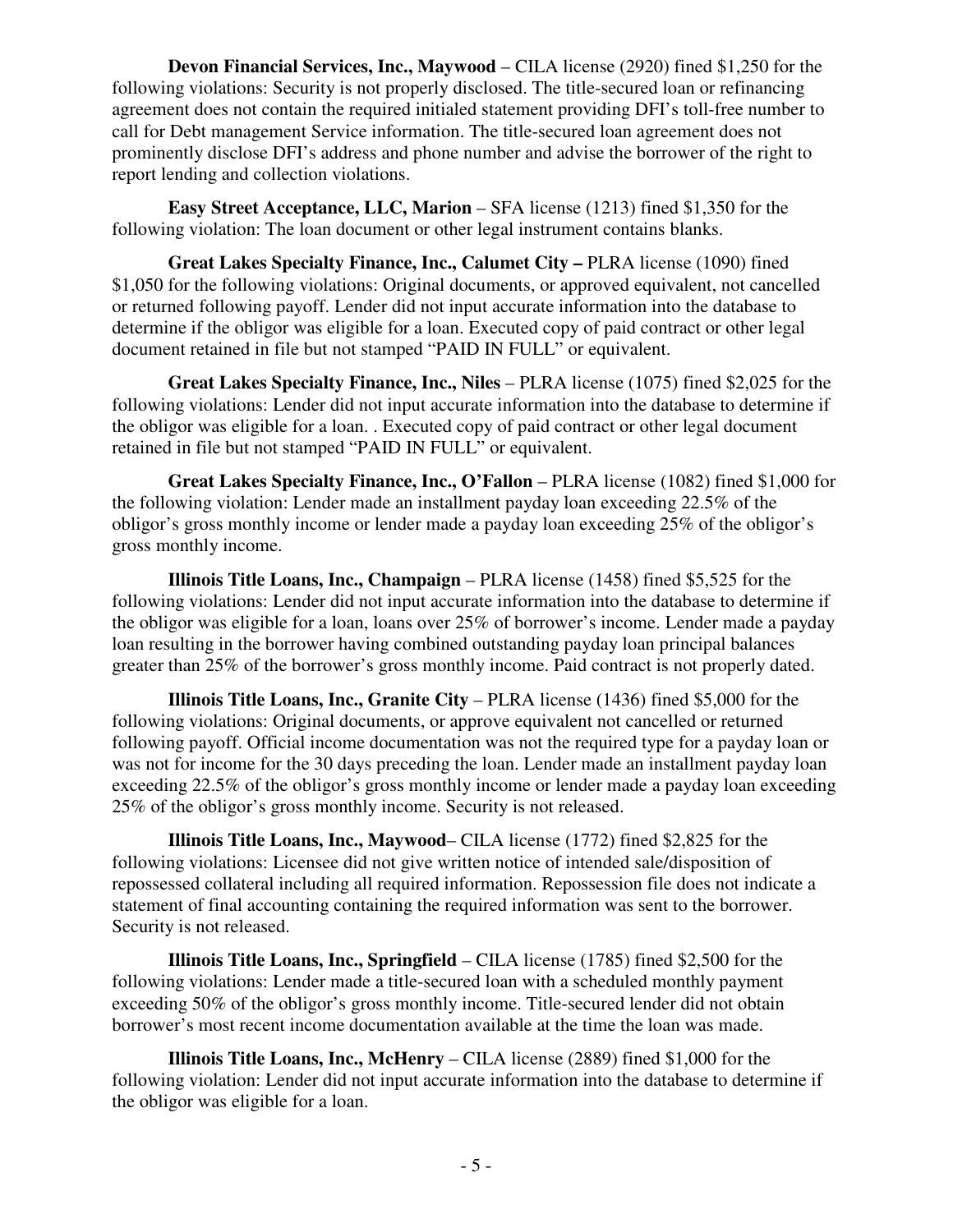**Devon Financial Services, Inc., Maywood** – CILA license (2920) fined \$1,250 for the following violations: Security is not properly disclosed. The title-secured loan or refinancing agreement does not contain the required initialed statement providing DFI's toll-free number to call for Debt management Service information. The title-secured loan agreement does not prominently disclose DFI's address and phone number and advise the borrower of the right to report lending and collection violations.

**Easy Street Acceptance, LLC, Marion – SFA license (1213) fined \$1,350 for the** following violation: The loan document or other legal instrument contains blanks.

 **Great Lakes Specialty Finance, Inc., Calumet City –** PLRA license (1090) fined \$1,050 for the following violations: Original documents, or approved equivalent, not cancelled or returned following payoff. Lender did not input accurate information into the database to determine if the obligor was eligible for a loan. Executed copy of paid contract or other legal document retained in file but not stamped "PAID IN FULL" or equivalent.

**Great Lakes Specialty Finance, Inc., Niles** – PLRA license (1075) fined \$2,025 for the following violations: Lender did not input accurate information into the database to determine if the obligor was eligible for a loan. . Executed copy of paid contract or other legal document retained in file but not stamped "PAID IN FULL" or equivalent.

 **Great Lakes Specialty Finance, Inc., O'Fallon** – PLRA license (1082) fined \$1,000 for the following violation: Lender made an installment payday loan exceeding 22.5% of the obligor's gross monthly income or lender made a payday loan exceeding 25% of the obligor's gross monthly income.

 **Illinois Title Loans, Inc., Champaign** – PLRA license (1458) fined \$5,525 for the following violations: Lender did not input accurate information into the database to determine if the obligor was eligible for a loan, loans over 25% of borrower's income. Lender made a payday loan resulting in the borrower having combined outstanding payday loan principal balances greater than 25% of the borrower's gross monthly income. Paid contract is not properly dated.

**Illinois Title Loans, Inc., Granite City – PLRA license (1436) fined \$5,000 for the** following violations: Original documents, or approve equivalent not cancelled or returned following payoff. Official income documentation was not the required type for a payday loan or was not for income for the 30 days preceding the loan. Lender made an installment payday loan exceeding 22.5% of the obligor's gross monthly income or lender made a payday loan exceeding 25% of the obligor's gross monthly income. Security is not released.

 **Illinois Title Loans, Inc., Maywood**– CILA license (1772) fined \$2,825 for the following violations: Licensee did not give written notice of intended sale/disposition of repossessed collateral including all required information. Repossession file does not indicate a statement of final accounting containing the required information was sent to the borrower. Security is not released.

 **Illinois Title Loans, Inc., Springfield** – CILA license (1785) fined \$2,500 for the following violations: Lender made a title-secured loan with a scheduled monthly payment exceeding 50% of the obligor's gross monthly income. Title-secured lender did not obtain borrower's most recent income documentation available at the time the loan was made.

 **Illinois Title Loans, Inc., McHenry** – CILA license (2889) fined \$1,000 for the following violation: Lender did not input accurate information into the database to determine if the obligor was eligible for a loan.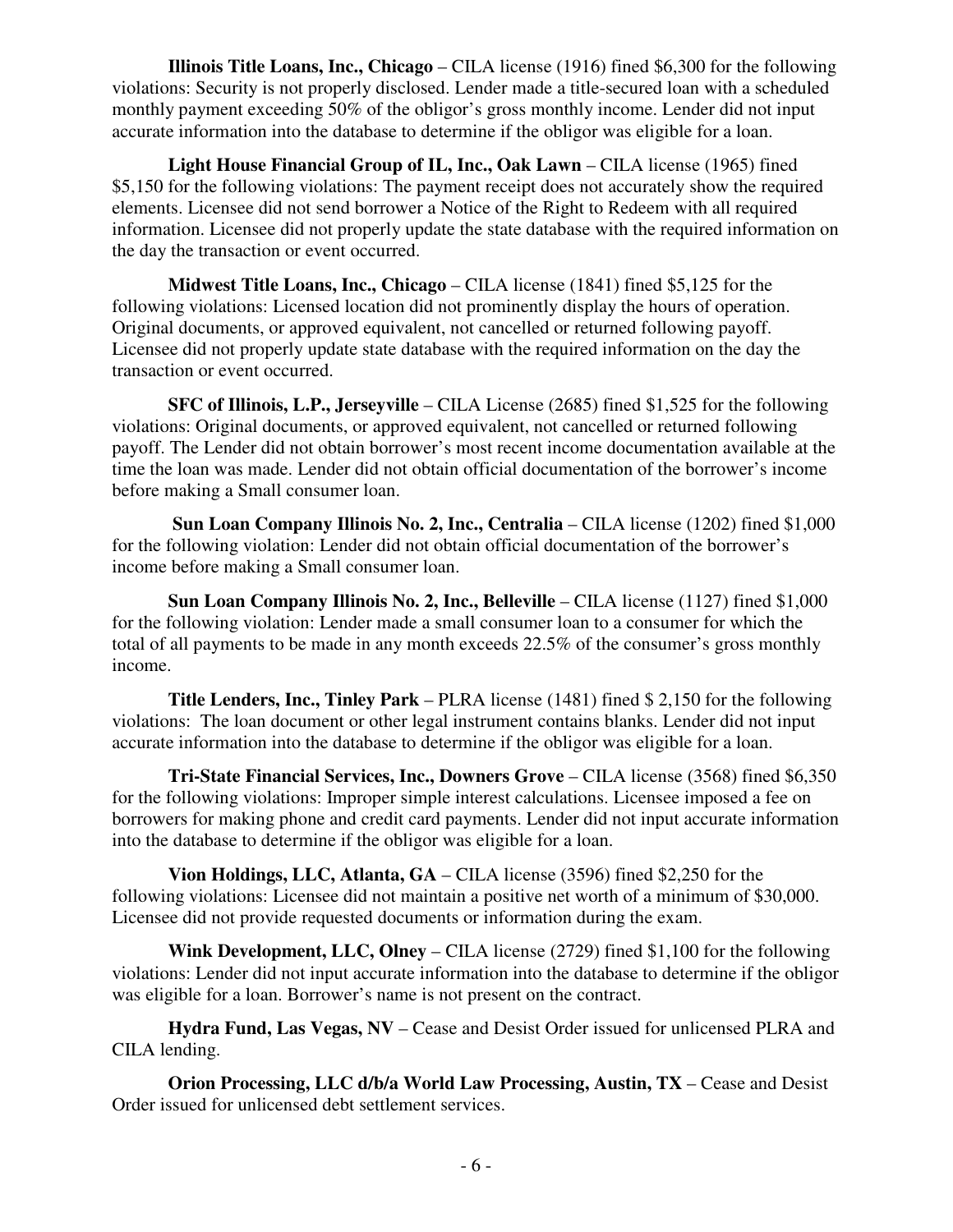**Illinois Title Loans, Inc., Chicago** – CILA license (1916) fined \$6,300 for the following violations: Security is not properly disclosed. Lender made a title-secured loan with a scheduled monthly payment exceeding 50% of the obligor's gross monthly income. Lender did not input accurate information into the database to determine if the obligor was eligible for a loan.

 **Light House Financial Group of IL, Inc., Oak Lawn** – CILA license (1965) fined \$5,150 for the following violations: The payment receipt does not accurately show the required elements. Licensee did not send borrower a Notice of the Right to Redeem with all required information. Licensee did not properly update the state database with the required information on the day the transaction or event occurred.

 **Midwest Title Loans, Inc., Chicago** – CILA license (1841) fined \$5,125 for the following violations: Licensed location did not prominently display the hours of operation. Original documents, or approved equivalent, not cancelled or returned following payoff. Licensee did not properly update state database with the required information on the day the transaction or event occurred.

 **SFC of Illinois, L.P., Jerseyville** – CILA License (2685) fined \$1,525 for the following violations: Original documents, or approved equivalent, not cancelled or returned following payoff. The Lender did not obtain borrower's most recent income documentation available at the time the loan was made. Lender did not obtain official documentation of the borrower's income before making a Small consumer loan.

**Sun Loan Company Illinois No. 2, Inc., Centralia** – CILA license (1202) fined \$1,000 for the following violation: Lender did not obtain official documentation of the borrower's income before making a Small consumer loan.

**Sun Loan Company Illinois No. 2, Inc., Belleville** – CILA license (1127) fined \$1,000 for the following violation: Lender made a small consumer loan to a consumer for which the total of all payments to be made in any month exceeds 22.5% of the consumer's gross monthly income.

 **Title Lenders, Inc., Tinley Park** – PLRA license (1481) fined \$ 2,150 for the following violations: The loan document or other legal instrument contains blanks. Lender did not input accurate information into the database to determine if the obligor was eligible for a loan.

 **Tri-State Financial Services, Inc., Downers Grove** – CILA license (3568) fined \$6,350 for the following violations: Improper simple interest calculations. Licensee imposed a fee on borrowers for making phone and credit card payments. Lender did not input accurate information into the database to determine if the obligor was eligible for a loan.

 **Vion Holdings, LLC, Atlanta, GA** – CILA license (3596) fined \$2,250 for the following violations: Licensee did not maintain a positive net worth of a minimum of \$30,000. Licensee did not provide requested documents or information during the exam.

 **Wink Development, LLC, Olney** – CILA license (2729) fined \$1,100 for the following violations: Lender did not input accurate information into the database to determine if the obligor was eligible for a loan. Borrower's name is not present on the contract.

 **Hydra Fund, Las Vegas, NV** – Cease and Desist Order issued for unlicensed PLRA and CILA lending.

**Orion Processing, LLC d/b/a World Law Processing, Austin, TX** – Cease and Desist Order issued for unlicensed debt settlement services.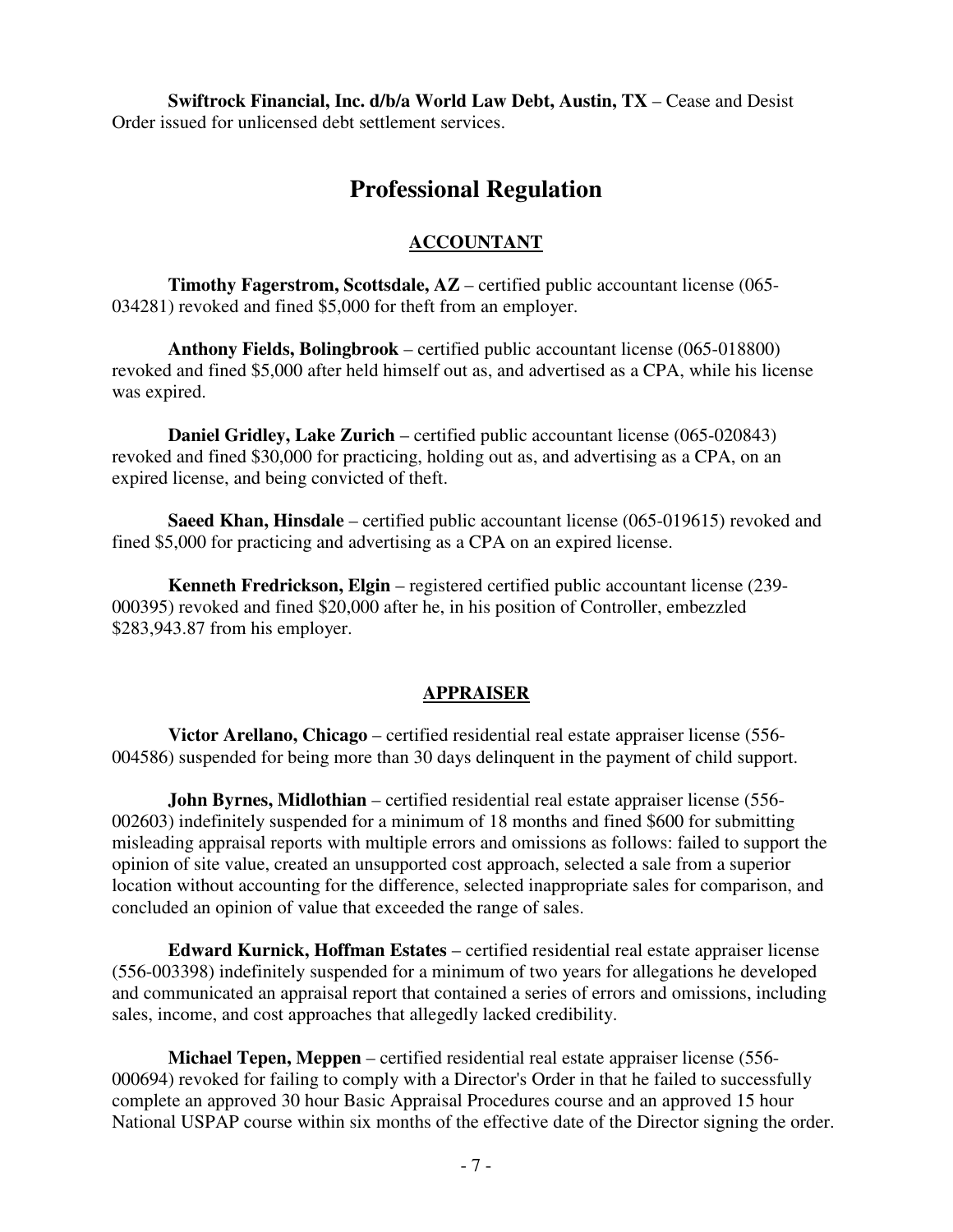**Swiftrock Financial, Inc. d/b/a World Law Debt, Austin, TX** – Cease and Desist Order issued for unlicensed debt settlement services.

## **Professional Regulation**

#### **ACCOUNTANT**

**Timothy Fagerstrom, Scottsdale, AZ** – certified public accountant license (065- 034281) revoked and fined \$5,000 for theft from an employer.

**Anthony Fields, Bolingbrook** – certified public accountant license (065-018800) revoked and fined \$5,000 after held himself out as, and advertised as a CPA, while his license was expired.

**Daniel Gridley, Lake Zurich** – certified public accountant license (065-020843) revoked and fined \$30,000 for practicing, holding out as, and advertising as a CPA, on an expired license, and being convicted of theft.

**Saeed Khan, Hinsdale** – certified public accountant license (065-019615) revoked and fined \$5,000 for practicing and advertising as a CPA on an expired license.

**Kenneth Fredrickson, Elgin** – registered certified public accountant license (239- 000395) revoked and fined \$20,000 after he, in his position of Controller, embezzled \$283,943.87 from his employer.

#### **APPRAISER**

**Victor Arellano, Chicago** – certified residential real estate appraiser license (556- 004586) suspended for being more than 30 days delinquent in the payment of child support.

**John Byrnes, Midlothian** – certified residential real estate appraiser license (556- 002603) indefinitely suspended for a minimum of 18 months and fined \$600 for submitting misleading appraisal reports with multiple errors and omissions as follows: failed to support the opinion of site value, created an unsupported cost approach, selected a sale from a superior location without accounting for the difference, selected inappropriate sales for comparison, and concluded an opinion of value that exceeded the range of sales.

**Edward Kurnick, Hoffman Estates** – certified residential real estate appraiser license (556-003398) indefinitely suspended for a minimum of two years for allegations he developed and communicated an appraisal report that contained a series of errors and omissions, including sales, income, and cost approaches that allegedly lacked credibility.

**Michael Tepen, Meppen** – certified residential real estate appraiser license (556- 000694) revoked for failing to comply with a Director's Order in that he failed to successfully complete an approved 30 hour Basic Appraisal Procedures course and an approved 15 hour National USPAP course within six months of the effective date of the Director signing the order.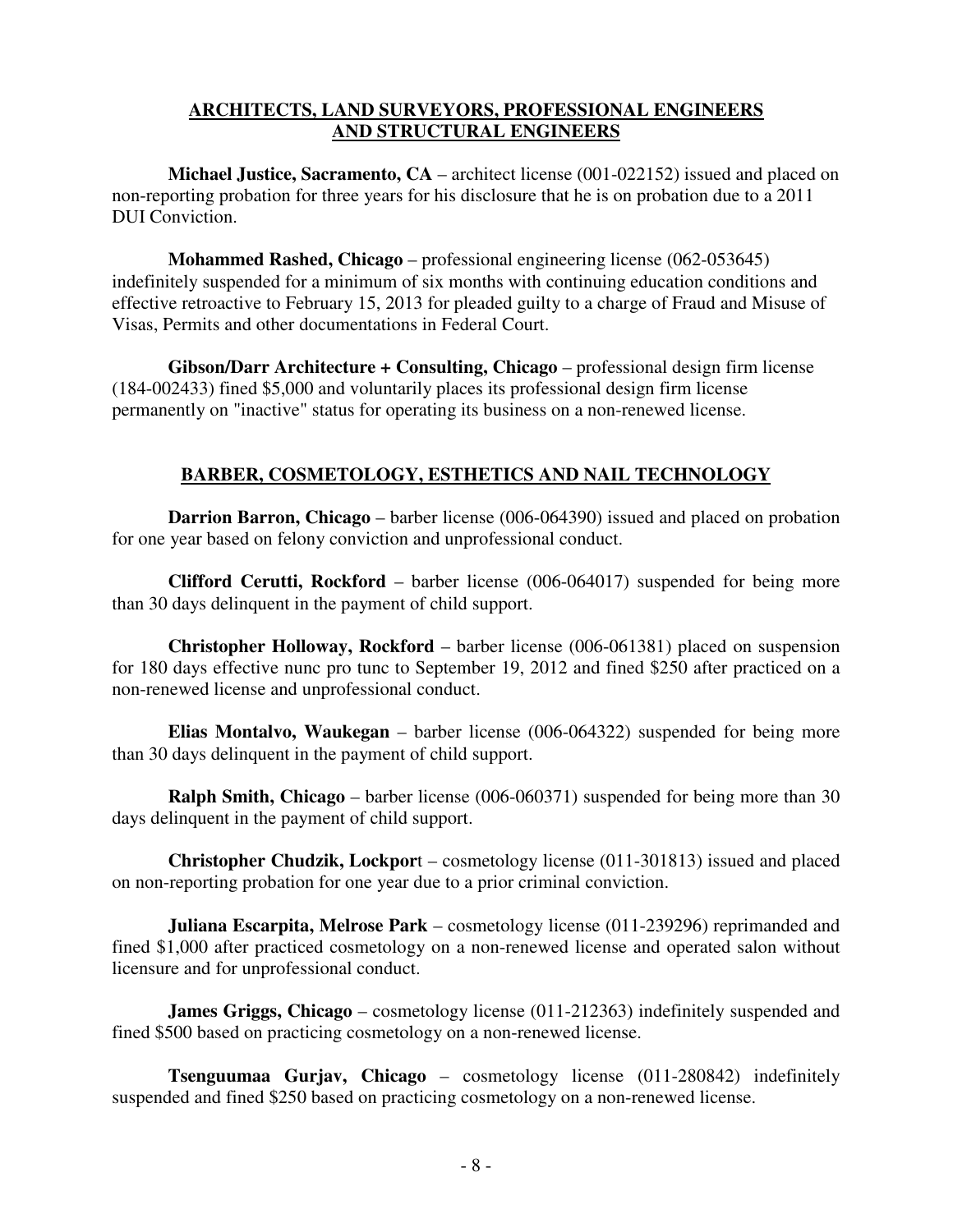#### **ARCHITECTS, LAND SURVEYORS, PROFESSIONAL ENGINEERS AND STRUCTURAL ENGINEERS**

**Michael Justice, Sacramento, CA** – architect license (001-022152) issued and placed on non-reporting probation for three years for his disclosure that he is on probation due to a 2011 DUI Conviction.

**Mohammed Rashed, Chicago** – professional engineering license (062-053645) indefinitely suspended for a minimum of six months with continuing education conditions and effective retroactive to February 15, 2013 for pleaded guilty to a charge of Fraud and Misuse of Visas, Permits and other documentations in Federal Court.

**Gibson/Darr Architecture + Consulting, Chicago** – professional design firm license (184-002433) fined \$5,000 and voluntarily places its professional design firm license permanently on "inactive" status for operating its business on a non-renewed license.

### **BARBER, COSMETOLOGY, ESTHETICS AND NAIL TECHNOLOGY**

**Darrion Barron, Chicago** – barber license (006-064390) issued and placed on probation for one year based on felony conviction and unprofessional conduct.

**Clifford Cerutti, Rockford** – barber license (006-064017) suspended for being more than 30 days delinquent in the payment of child support.

**Christopher Holloway, Rockford** – barber license (006-061381) placed on suspension for 180 days effective nunc pro tunc to September 19, 2012 and fined \$250 after practiced on a non-renewed license and unprofessional conduct.

**Elias Montalvo, Waukegan** – barber license (006-064322) suspended for being more than 30 days delinquent in the payment of child support.

**Ralph Smith, Chicago** – barber license (006-060371) suspended for being more than 30 days delinquent in the payment of child support.

**Christopher Chudzik, Lockpor**t – cosmetology license (011-301813) issued and placed on non-reporting probation for one year due to a prior criminal conviction.

**Juliana Escarpita, Melrose Park** – cosmetology license (011-239296) reprimanded and fined \$1,000 after practiced cosmetology on a non-renewed license and operated salon without licensure and for unprofessional conduct.

**James Griggs, Chicago** – cosmetology license (011-212363) indefinitely suspended and fined \$500 based on practicing cosmetology on a non-renewed license.

**Tsenguumaa Gurjav, Chicago** – cosmetology license (011-280842) indefinitely suspended and fined \$250 based on practicing cosmetology on a non-renewed license.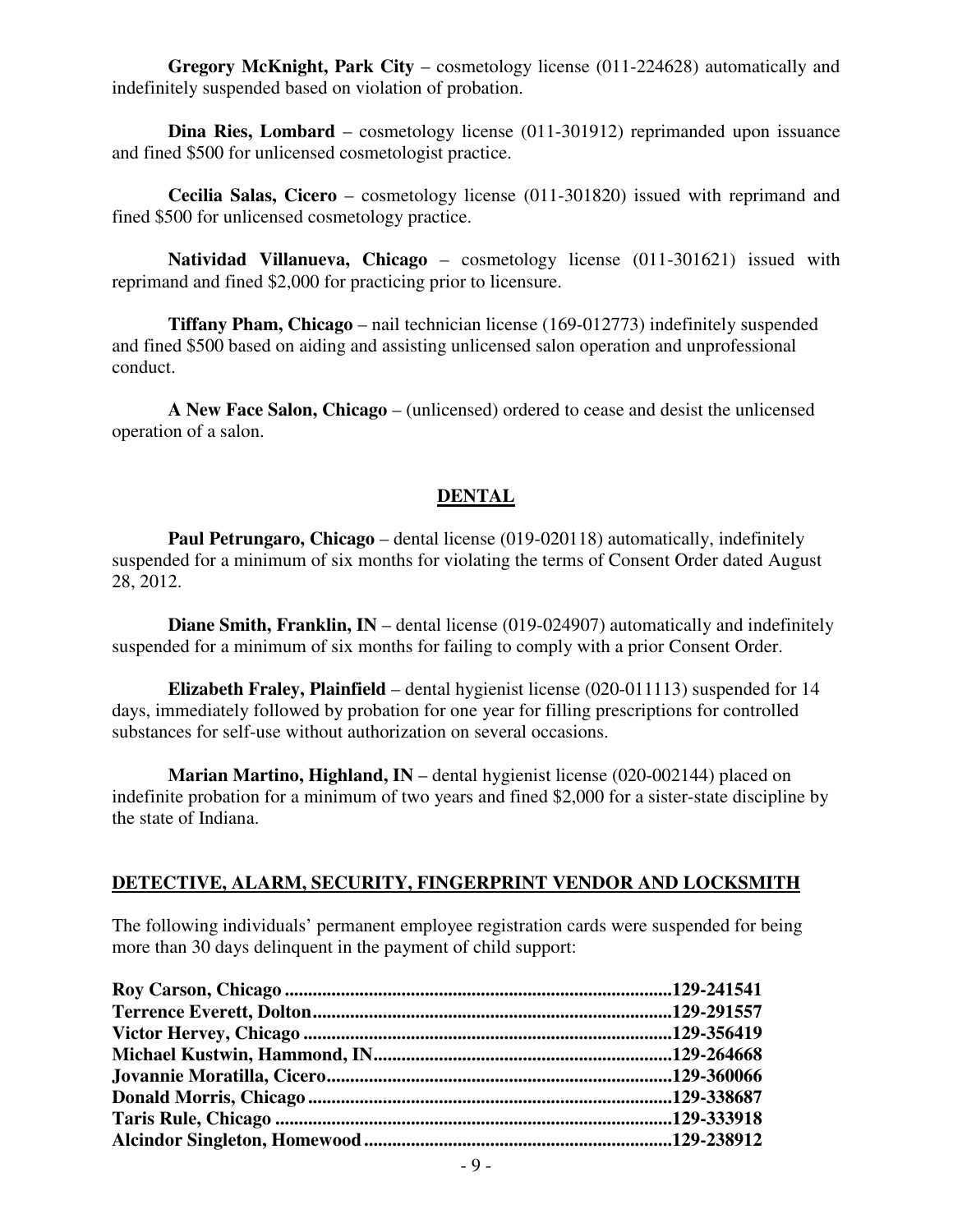**Gregory McKnight, Park City** – cosmetology license (011-224628) automatically and indefinitely suspended based on violation of probation.

**Dina Ries, Lombard** – cosmetology license (011-301912) reprimanded upon issuance and fined \$500 for unlicensed cosmetologist practice.

**Cecilia Salas, Cicero** – cosmetology license (011-301820) issued with reprimand and fined \$500 for unlicensed cosmetology practice.

**Natividad Villanueva, Chicago** – cosmetology license (011-301621) issued with reprimand and fined \$2,000 for practicing prior to licensure.

**Tiffany Pham, Chicago** – nail technician license (169-012773) indefinitely suspended and fined \$500 based on aiding and assisting unlicensed salon operation and unprofessional conduct.

**A New Face Salon, Chicago** – (unlicensed) ordered to cease and desist the unlicensed operation of a salon.

#### **DENTAL**

 **Paul Petrungaro, Chicago** – dental license (019-020118) automatically, indefinitely suspended for a minimum of six months for violating the terms of Consent Order dated August 28, 2012.

**Diane Smith, Franklin, IN** – dental license (019-024907) automatically and indefinitely suspended for a minimum of six months for failing to comply with a prior Consent Order.

**Elizabeth Fraley, Plainfield** – dental hygienist license (020-011113) suspended for 14 days, immediately followed by probation for one year for filling prescriptions for controlled substances for self-use without authorization on several occasions.

**Marian Martino, Highland, IN** – dental hygienist license (020-002144) placed on indefinite probation for a minimum of two years and fined \$2,000 for a sister-state discipline by the state of Indiana.

#### **DETECTIVE, ALARM, SECURITY, FINGERPRINT VENDOR AND LOCKSMITH**

The following individuals' permanent employee registration cards were suspended for being more than 30 days delinquent in the payment of child support: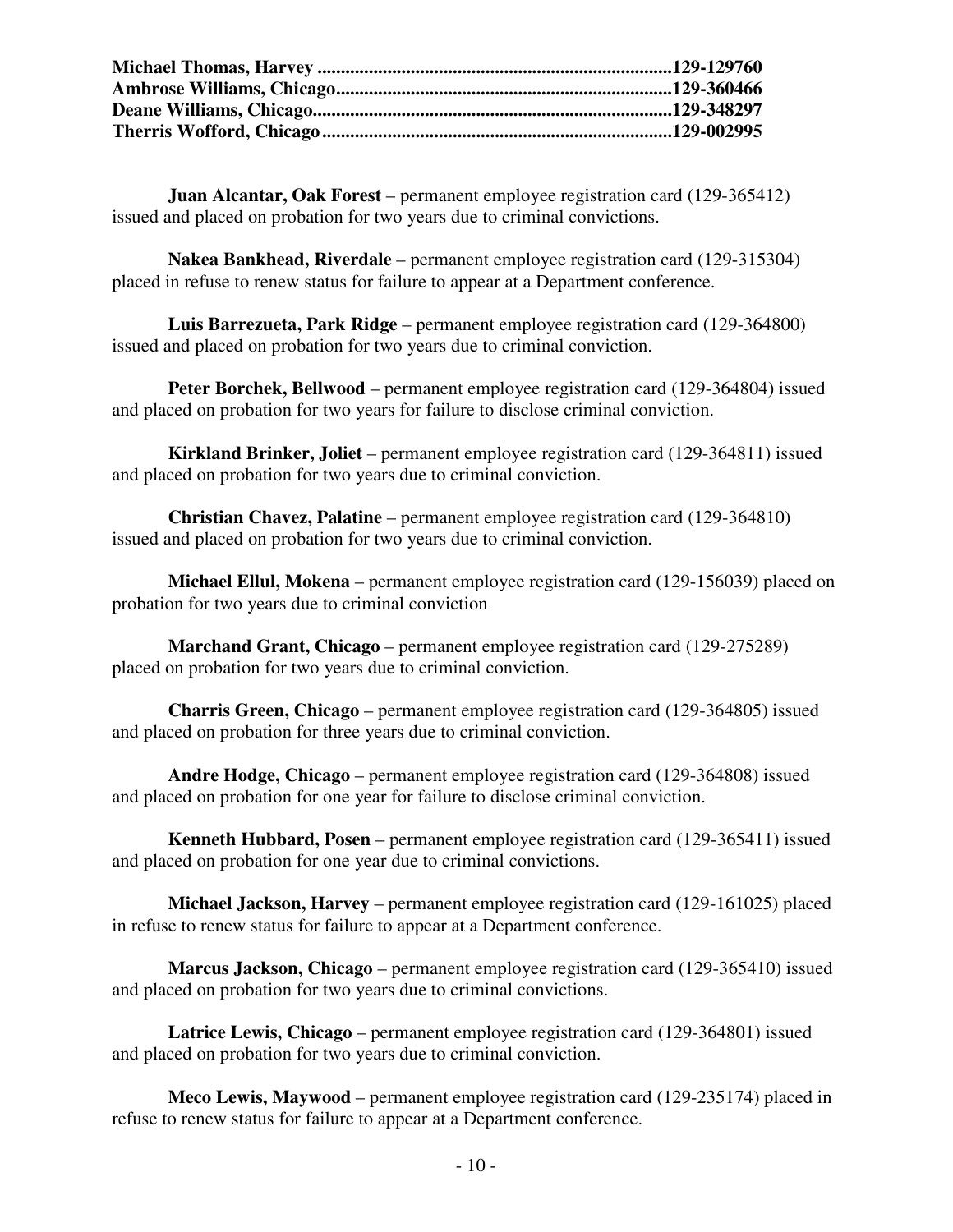**Juan Alcantar, Oak Forest** – permanent employee registration card (129-365412) issued and placed on probation for two years due to criminal convictions.

**Nakea Bankhead, Riverdale** – permanent employee registration card (129-315304) placed in refuse to renew status for failure to appear at a Department conference.

**Luis Barrezueta, Park Ridge** – permanent employee registration card (129-364800) issued and placed on probation for two years due to criminal conviction.

**Peter Borchek, Bellwood** – permanent employee registration card (129-364804) issued and placed on probation for two years for failure to disclose criminal conviction.

**Kirkland Brinker, Joliet** – permanent employee registration card (129-364811) issued and placed on probation for two years due to criminal conviction.

**Christian Chavez, Palatine** – permanent employee registration card (129-364810) issued and placed on probation for two years due to criminal conviction.

**Michael Ellul, Mokena** – permanent employee registration card (129-156039) placed on probation for two years due to criminal conviction

**Marchand Grant, Chicago** – permanent employee registration card (129-275289) placed on probation for two years due to criminal conviction.

**Charris Green, Chicago** – permanent employee registration card (129-364805) issued and placed on probation for three years due to criminal conviction.

**Andre Hodge, Chicago** – permanent employee registration card (129-364808) issued and placed on probation for one year for failure to disclose criminal conviction.

**Kenneth Hubbard, Posen** – permanent employee registration card (129-365411) issued and placed on probation for one year due to criminal convictions.

**Michael Jackson, Harvey** – permanent employee registration card (129-161025) placed in refuse to renew status for failure to appear at a Department conference.

**Marcus Jackson, Chicago** – permanent employee registration card (129-365410) issued and placed on probation for two years due to criminal convictions.

**Latrice Lewis, Chicago** – permanent employee registration card (129-364801) issued and placed on probation for two years due to criminal conviction.

**Meco Lewis, Maywood** – permanent employee registration card (129-235174) placed in refuse to renew status for failure to appear at a Department conference.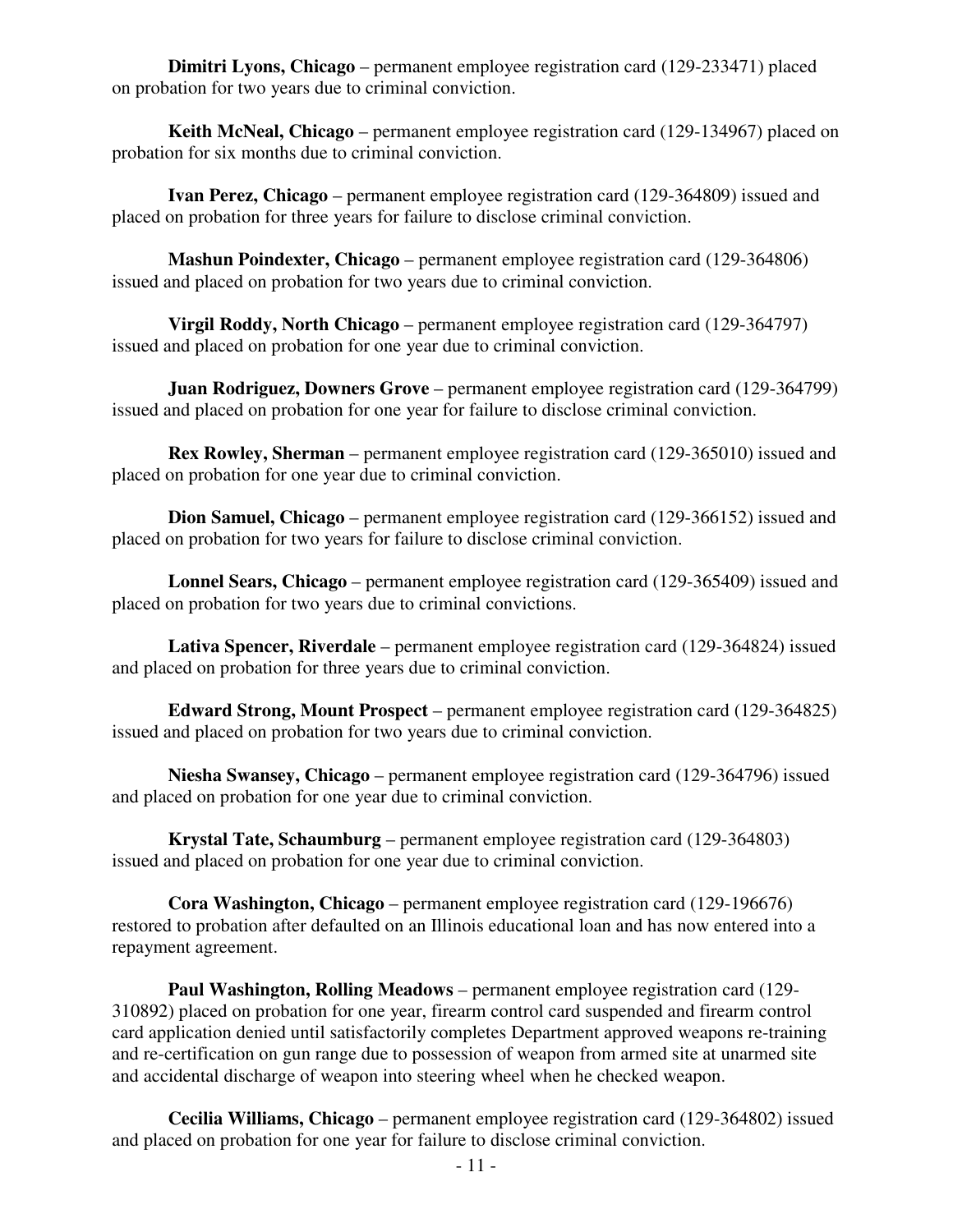**Dimitri Lyons, Chicago** – permanent employee registration card (129-233471) placed on probation for two years due to criminal conviction.

**Keith McNeal, Chicago** – permanent employee registration card (129-134967) placed on probation for six months due to criminal conviction.

**Ivan Perez, Chicago** – permanent employee registration card (129-364809) issued and placed on probation for three years for failure to disclose criminal conviction.

**Mashun Poindexter, Chicago** – permanent employee registration card (129-364806) issued and placed on probation for two years due to criminal conviction.

**Virgil Roddy, North Chicago** – permanent employee registration card (129-364797) issued and placed on probation for one year due to criminal conviction.

**Juan Rodriguez, Downers Grove** – permanent employee registration card (129-364799) issued and placed on probation for one year for failure to disclose criminal conviction.

**Rex Rowley, Sherman** – permanent employee registration card (129-365010) issued and placed on probation for one year due to criminal conviction.

**Dion Samuel, Chicago** – permanent employee registration card (129-366152) issued and placed on probation for two years for failure to disclose criminal conviction.

**Lonnel Sears, Chicago** – permanent employee registration card (129-365409) issued and placed on probation for two years due to criminal convictions.

**Lativa Spencer, Riverdale** – permanent employee registration card (129-364824) issued and placed on probation for three years due to criminal conviction.

**Edward Strong, Mount Prospect** – permanent employee registration card (129-364825) issued and placed on probation for two years due to criminal conviction.

**Niesha Swansey, Chicago** – permanent employee registration card (129-364796) issued and placed on probation for one year due to criminal conviction.

**Krystal Tate, Schaumburg** – permanent employee registration card (129-364803) issued and placed on probation for one year due to criminal conviction.

**Cora Washington, Chicago** – permanent employee registration card (129-196676) restored to probation after defaulted on an Illinois educational loan and has now entered into a repayment agreement.

**Paul Washington, Rolling Meadows** – permanent employee registration card (129- 310892) placed on probation for one year, firearm control card suspended and firearm control card application denied until satisfactorily completes Department approved weapons re-training and re-certification on gun range due to possession of weapon from armed site at unarmed site and accidental discharge of weapon into steering wheel when he checked weapon.

**Cecilia Williams, Chicago** – permanent employee registration card (129-364802) issued and placed on probation for one year for failure to disclose criminal conviction.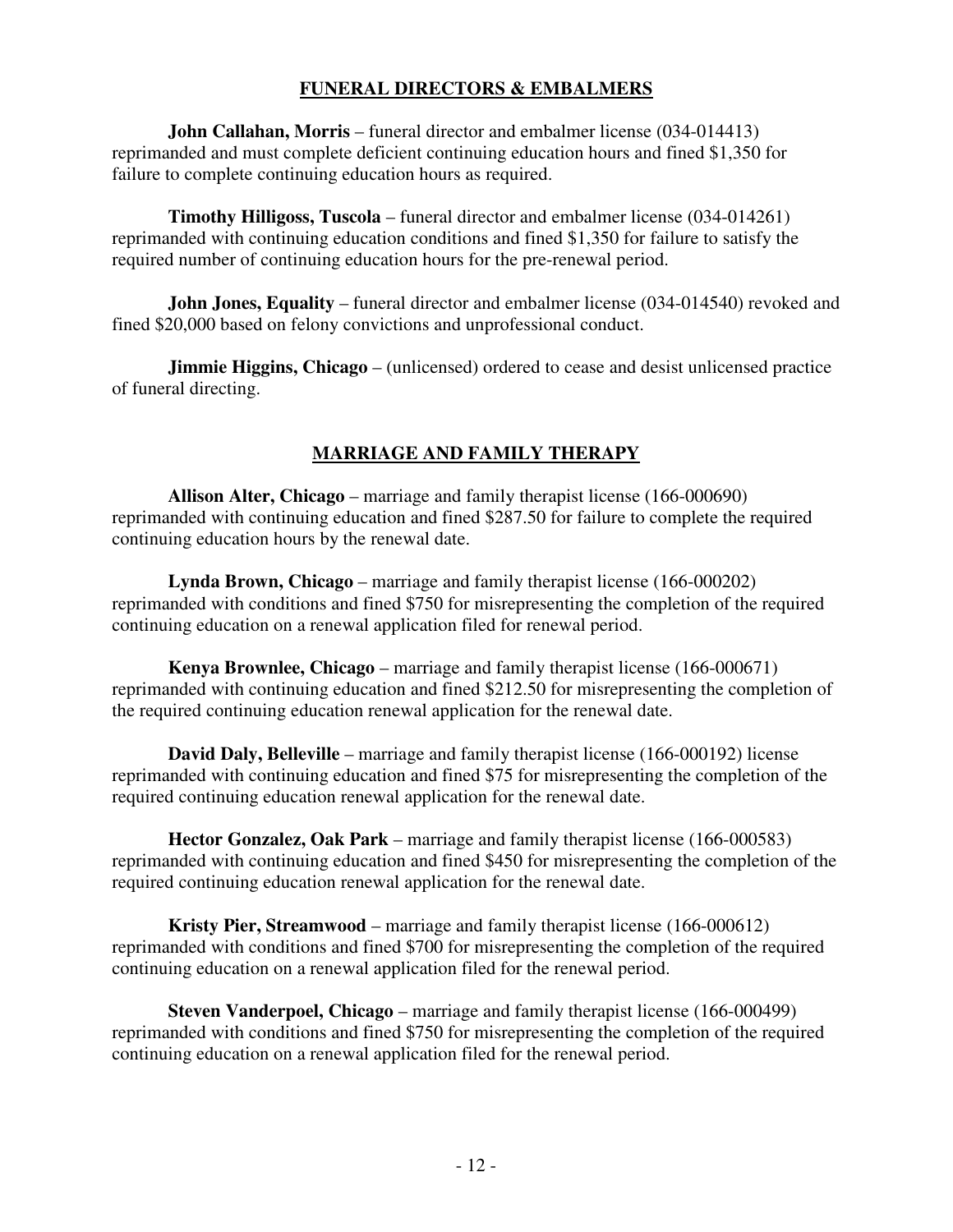#### **FUNERAL DIRECTORS & EMBALMERS**

**John Callahan, Morris** – funeral director and embalmer license (034-014413) reprimanded and must complete deficient continuing education hours and fined \$1,350 for failure to complete continuing education hours as required.

**Timothy Hilligoss, Tuscola** – funeral director and embalmer license (034-014261) reprimanded with continuing education conditions and fined \$1,350 for failure to satisfy the required number of continuing education hours for the pre-renewal period.

**John Jones, Equality** – funeral director and embalmer license (034-014540) revoked and fined \$20,000 based on felony convictions and unprofessional conduct.

**Jimmie Higgins, Chicago** – (unlicensed) ordered to cease and desist unlicensed practice of funeral directing.

## **MARRIAGE AND FAMILY THERAPY**

**Allison Alter, Chicago** – marriage and family therapist license (166-000690) reprimanded with continuing education and fined \$287.50 for failure to complete the required continuing education hours by the renewal date.

**Lynda Brown, Chicago** – marriage and family therapist license (166-000202) reprimanded with conditions and fined \$750 for misrepresenting the completion of the required continuing education on a renewal application filed for renewal period.

**Kenya Brownlee, Chicago** – marriage and family therapist license (166-000671) reprimanded with continuing education and fined \$212.50 for misrepresenting the completion of the required continuing education renewal application for the renewal date.

**David Daly, Belleville** – marriage and family therapist license (166-000192) license reprimanded with continuing education and fined \$75 for misrepresenting the completion of the required continuing education renewal application for the renewal date.

**Hector Gonzalez, Oak Park** – marriage and family therapist license (166-000583) reprimanded with continuing education and fined \$450 for misrepresenting the completion of the required continuing education renewal application for the renewal date.

**Kristy Pier, Streamwood** – marriage and family therapist license (166-000612) reprimanded with conditions and fined \$700 for misrepresenting the completion of the required continuing education on a renewal application filed for the renewal period.

**Steven Vanderpoel, Chicago** – marriage and family therapist license (166-000499) reprimanded with conditions and fined \$750 for misrepresenting the completion of the required continuing education on a renewal application filed for the renewal period.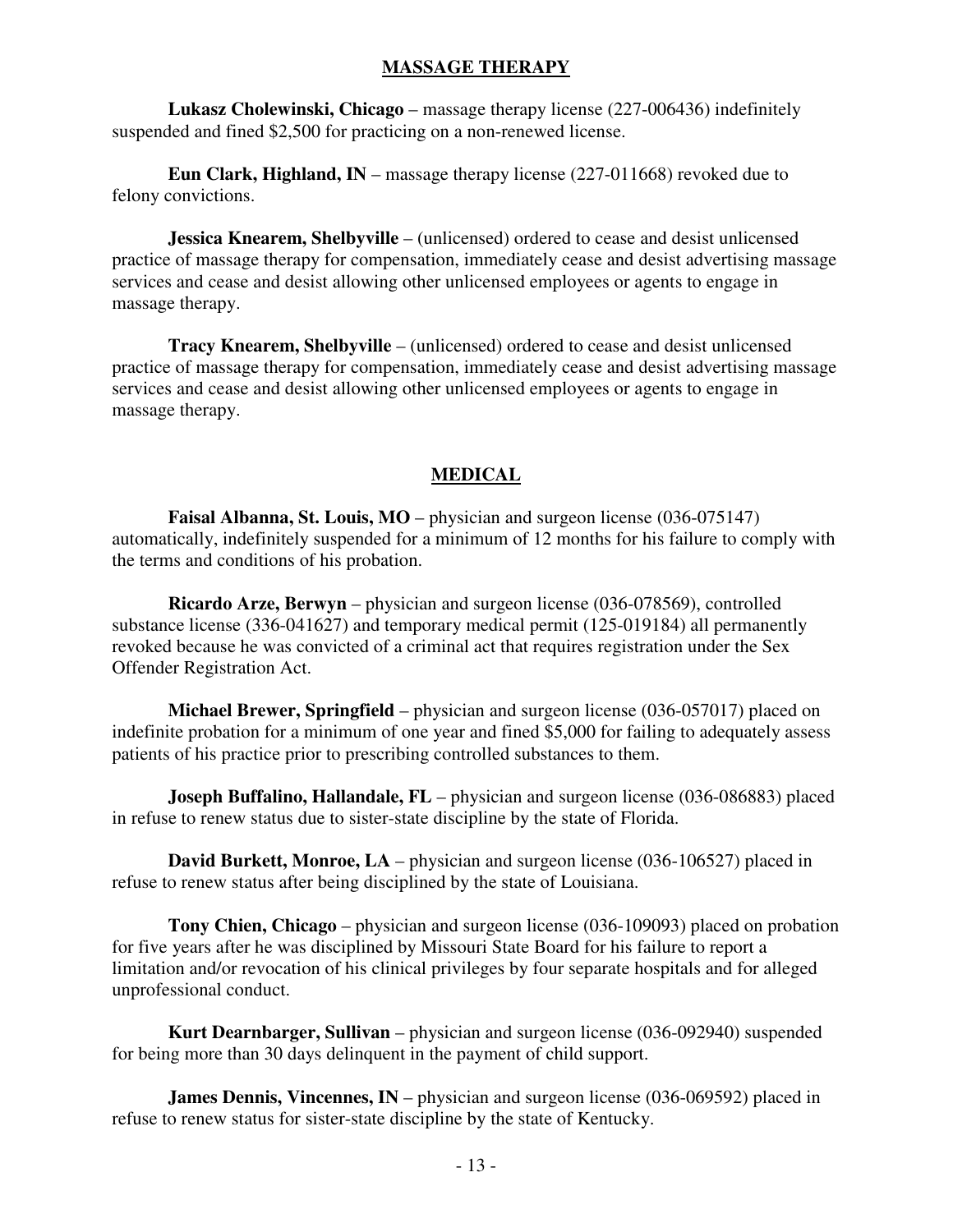#### **MASSAGE THERAPY**

**Lukasz Cholewinski, Chicago** – massage therapy license (227-006436) indefinitely suspended and fined \$2,500 for practicing on a non-renewed license.

**Eun Clark, Highland, IN** – massage therapy license (227-011668) revoked due to felony convictions.

**Jessica Knearem, Shelbyville** – (unlicensed) ordered to cease and desist unlicensed practice of massage therapy for compensation, immediately cease and desist advertising massage services and cease and desist allowing other unlicensed employees or agents to engage in massage therapy.

**Tracy Knearem, Shelbyville** – (unlicensed) ordered to cease and desist unlicensed practice of massage therapy for compensation, immediately cease and desist advertising massage services and cease and desist allowing other unlicensed employees or agents to engage in massage therapy.

#### **MEDICAL**

**Faisal Albanna, St. Louis, MO** – physician and surgeon license (036-075147) automatically, indefinitely suspended for a minimum of 12 months for his failure to comply with the terms and conditions of his probation.

 **Ricardo Arze, Berwyn** – physician and surgeon license (036-078569), controlled substance license (336-041627) and temporary medical permit (125-019184) all permanently revoked because he was convicted of a criminal act that requires registration under the Sex Offender Registration Act.

 **Michael Brewer, Springfield** – physician and surgeon license (036-057017) placed on indefinite probation for a minimum of one year and fined \$5,000 for failing to adequately assess patients of his practice prior to prescribing controlled substances to them.

**Joseph Buffalino, Hallandale, FL** – physician and surgeon license (036-086883) placed in refuse to renew status due to sister-state discipline by the state of Florida.

**David Burkett, Monroe, LA** – physician and surgeon license (036-106527) placed in refuse to renew status after being disciplined by the state of Louisiana.

 **Tony Chien, Chicago** – physician and surgeon license (036-109093) placed on probation for five years after he was disciplined by Missouri State Board for his failure to report a limitation and/or revocation of his clinical privileges by four separate hospitals and for alleged unprofessional conduct.

 **Kurt Dearnbarger, Sullivan** – physician and surgeon license (036-092940) suspended for being more than 30 days delinquent in the payment of child support.

**James Dennis, Vincennes, IN** – physician and surgeon license (036-069592) placed in refuse to renew status for sister-state discipline by the state of Kentucky.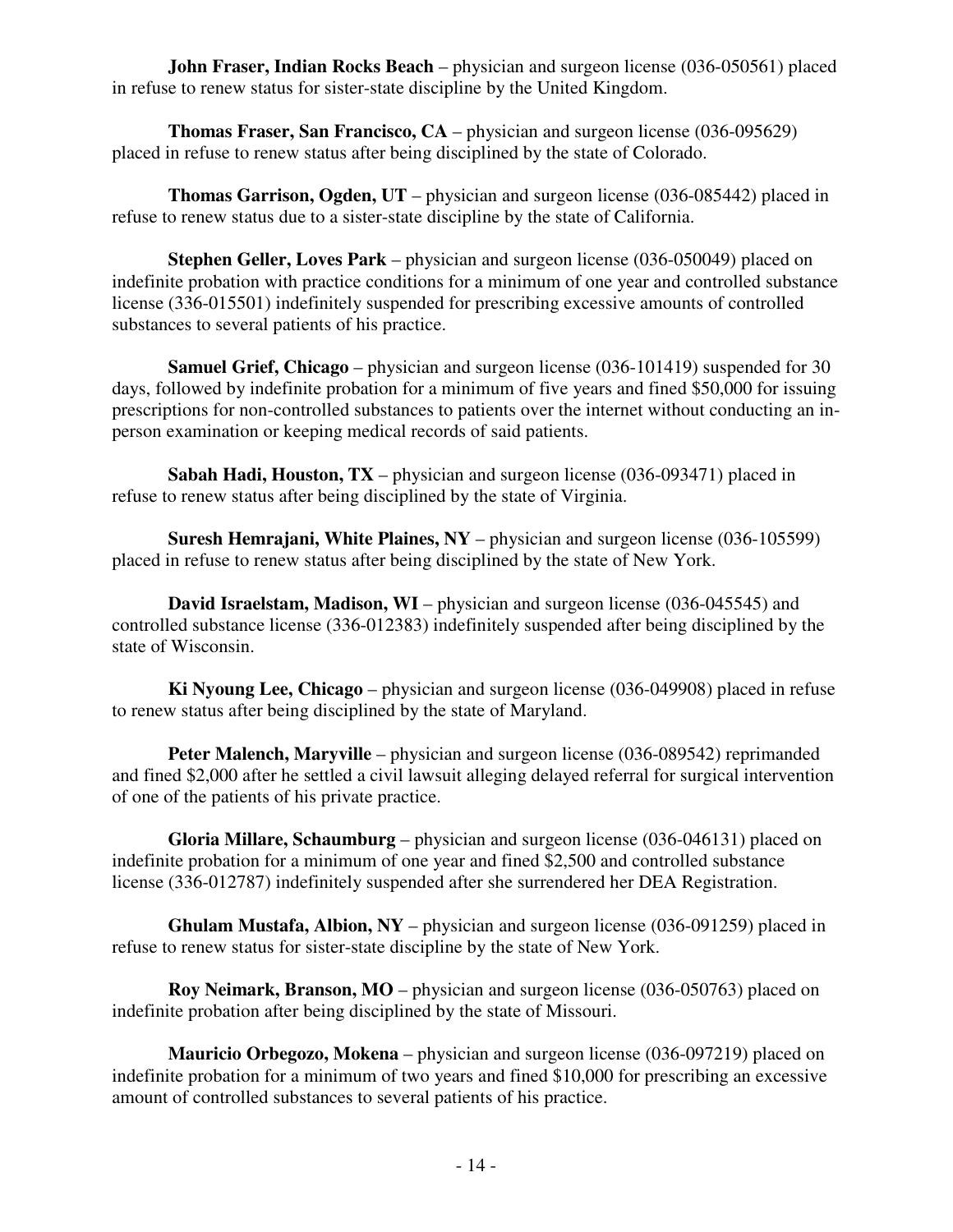**John Fraser, Indian Rocks Beach** – physician and surgeon license (036-050561) placed in refuse to renew status for sister-state discipline by the United Kingdom.

 **Thomas Fraser, San Francisco, CA** – physician and surgeon license (036-095629) placed in refuse to renew status after being disciplined by the state of Colorado.

**Thomas Garrison, Ogden, UT** – physician and surgeon license (036-085442) placed in refuse to renew status due to a sister-state discipline by the state of California.

**Stephen Geller, Loves Park** – physician and surgeon license (036-050049) placed on indefinite probation with practice conditions for a minimum of one year and controlled substance license (336-015501) indefinitely suspended for prescribing excessive amounts of controlled substances to several patients of his practice.

**Samuel Grief, Chicago** – physician and surgeon license (036-101419) suspended for 30 days, followed by indefinite probation for a minimum of five years and fined \$50,000 for issuing prescriptions for non-controlled substances to patients over the internet without conducting an inperson examination or keeping medical records of said patients.

**Sabah Hadi, Houston, TX** – physician and surgeon license (036-093471) placed in refuse to renew status after being disciplined by the state of Virginia.

**Suresh Hemrajani, White Plaines, NY** – physician and surgeon license (036-105599) placed in refuse to renew status after being disciplined by the state of New York.

**David Israelstam, Madison, WI** – physician and surgeon license (036-045545) and controlled substance license (336-012383) indefinitely suspended after being disciplined by the state of Wisconsin.

**Ki Nyoung Lee, Chicago** – physician and surgeon license (036-049908) placed in refuse to renew status after being disciplined by the state of Maryland.

**Peter Malench, Maryville** – physician and surgeon license (036-089542) reprimanded and fined \$2,000 after he settled a civil lawsuit alleging delayed referral for surgical intervention of one of the patients of his private practice.

**Gloria Millare, Schaumburg** – physician and surgeon license (036-046131) placed on indefinite probation for a minimum of one year and fined \$2,500 and controlled substance license (336-012787) indefinitely suspended after she surrendered her DEA Registration.

**Ghulam Mustafa, Albion, NY** – physician and surgeon license (036-091259) placed in refuse to renew status for sister-state discipline by the state of New York.

**Roy Neimark, Branson, MO** – physician and surgeon license (036-050763) placed on indefinite probation after being disciplined by the state of Missouri.

**Mauricio Orbegozo, Mokena** – physician and surgeon license (036-097219) placed on indefinite probation for a minimum of two years and fined \$10,000 for prescribing an excessive amount of controlled substances to several patients of his practice.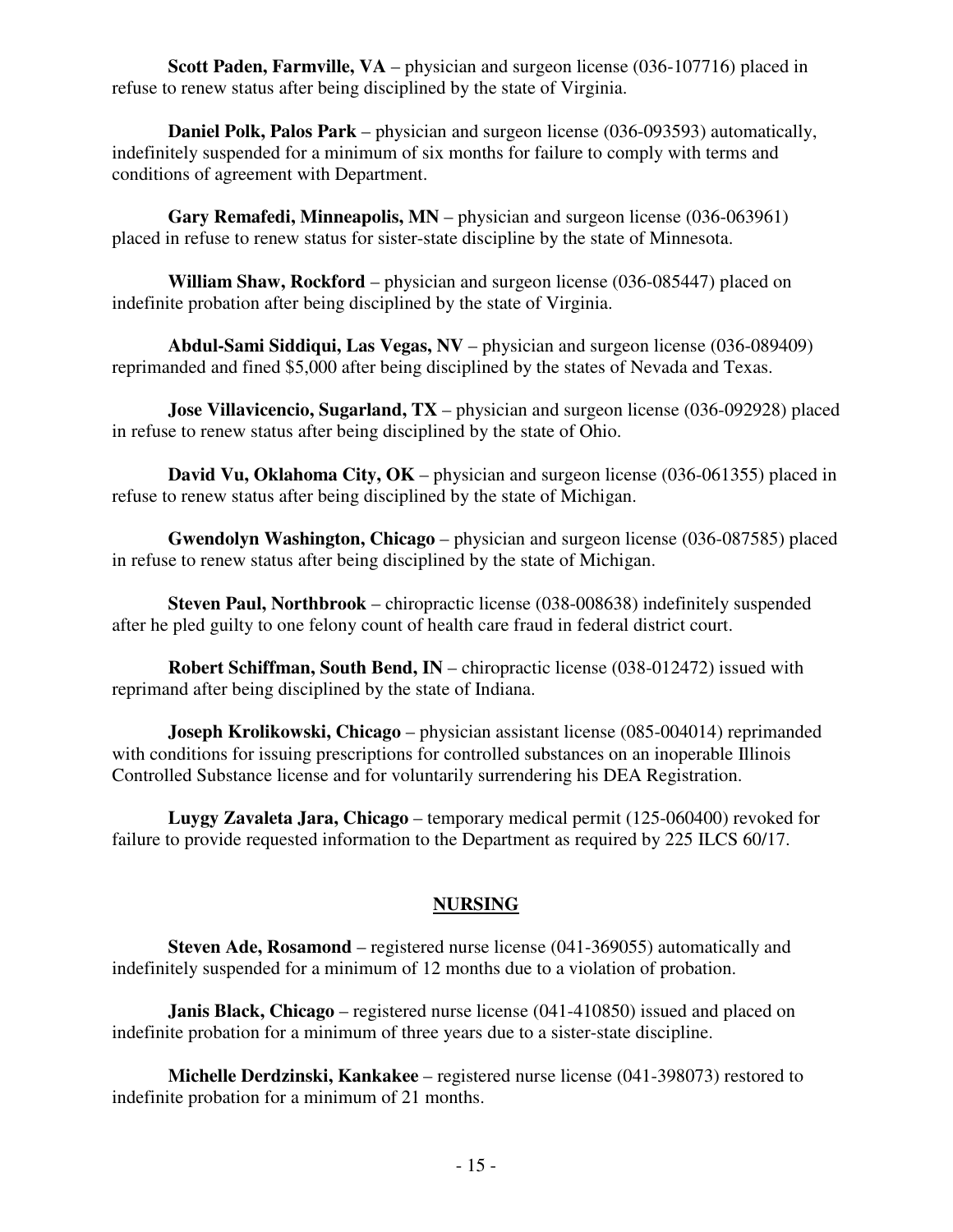**Scott Paden, Farmville, VA** – physician and surgeon license (036-107716) placed in refuse to renew status after being disciplined by the state of Virginia.

**Daniel Polk, Palos Park** – physician and surgeon license (036-093593) automatically, indefinitely suspended for a minimum of six months for failure to comply with terms and conditions of agreement with Department.

**Gary Remafedi, Minneapolis, MN** – physician and surgeon license (036-063961) placed in refuse to renew status for sister-state discipline by the state of Minnesota.

**William Shaw, Rockford** – physician and surgeon license (036-085447) placed on indefinite probation after being disciplined by the state of Virginia.

**Abdul-Sami Siddiqui, Las Vegas, NV** – physician and surgeon license (036-089409) reprimanded and fined \$5,000 after being disciplined by the states of Nevada and Texas.

**Jose Villavicencio, Sugarland, TX** – physician and surgeon license (036-092928) placed in refuse to renew status after being disciplined by the state of Ohio.

**David Vu, Oklahoma City, OK** – physician and surgeon license (036-061355) placed in refuse to renew status after being disciplined by the state of Michigan.

**Gwendolyn Washington, Chicago** – physician and surgeon license (036-087585) placed in refuse to renew status after being disciplined by the state of Michigan.

**Steven Paul, Northbrook** – chiropractic license (038-008638) indefinitely suspended after he pled guilty to one felony count of health care fraud in federal district court.

**Robert Schiffman, South Bend, IN** – chiropractic license (038-012472) issued with reprimand after being disciplined by the state of Indiana.

**Joseph Krolikowski, Chicago** – physician assistant license (085-004014) reprimanded with conditions for issuing prescriptions for controlled substances on an inoperable Illinois Controlled Substance license and for voluntarily surrendering his DEA Registration.

**Luygy Zavaleta Jara, Chicago** – temporary medical permit (125-060400) revoked for failure to provide requested information to the Department as required by 225 ILCS 60/17.

#### **NURSING**

 **Steven Ade, Rosamond** – registered nurse license (041-369055) automatically and indefinitely suspended for a minimum of 12 months due to a violation of probation.

 **Janis Black, Chicago** – registered nurse license (041-410850) issued and placed on indefinite probation for a minimum of three years due to a sister-state discipline.

 **Michelle Derdzinski, Kankakee** – registered nurse license (041-398073) restored to indefinite probation for a minimum of 21 months.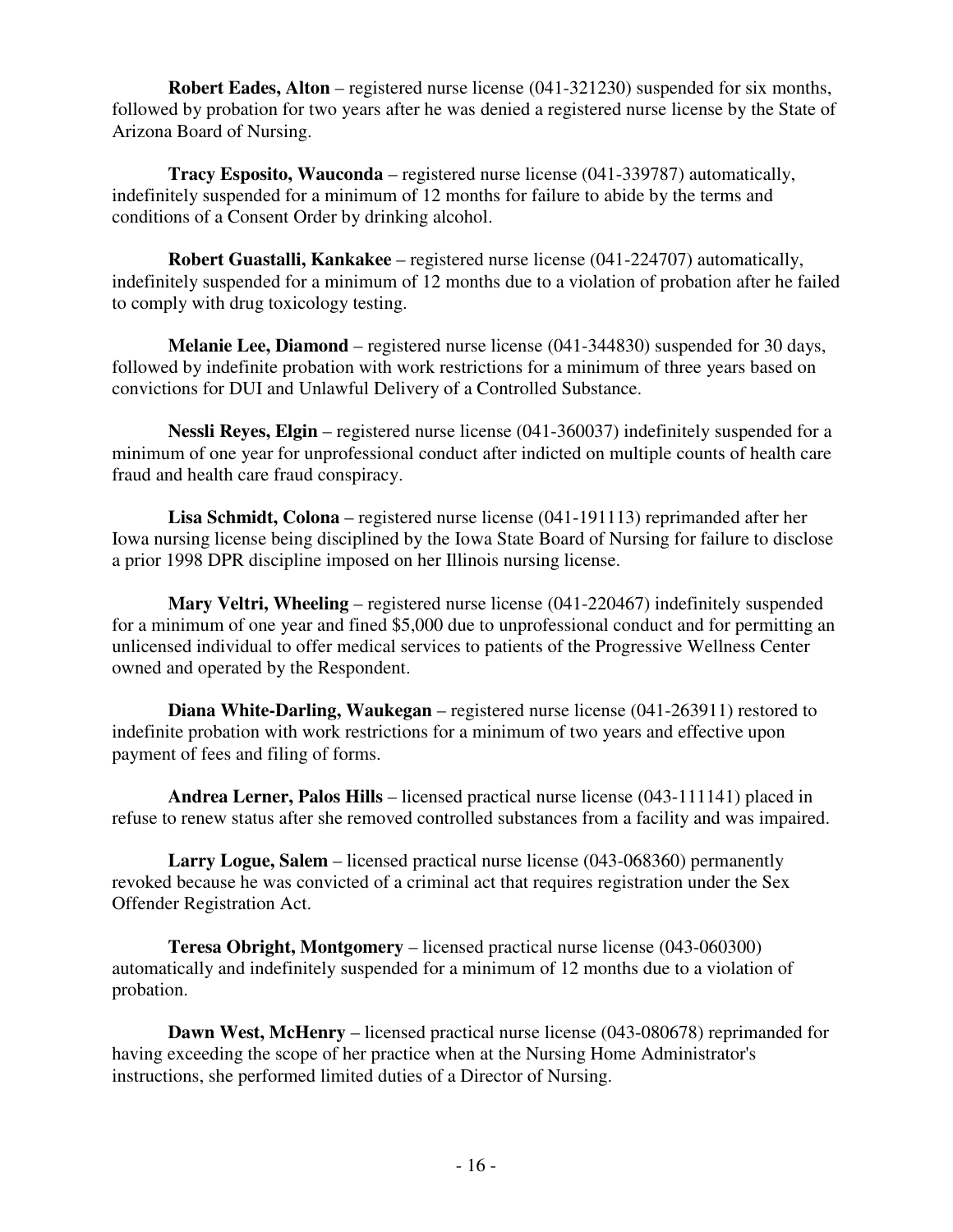**Robert Eades, Alton** – registered nurse license (041-321230) suspended for six months, followed by probation for two years after he was denied a registered nurse license by the State of Arizona Board of Nursing.

 **Tracy Esposito, Wauconda** – registered nurse license (041-339787) automatically, indefinitely suspended for a minimum of 12 months for failure to abide by the terms and conditions of a Consent Order by drinking alcohol.

 **Robert Guastalli, Kankakee** – registered nurse license (041-224707) automatically, indefinitely suspended for a minimum of 12 months due to a violation of probation after he failed to comply with drug toxicology testing.

**Melanie Lee, Diamond** – registered nurse license (041-344830) suspended for 30 days, followed by indefinite probation with work restrictions for a minimum of three years based on convictions for DUI and Unlawful Delivery of a Controlled Substance.

**Nessli Reyes, Elgin** – registered nurse license (041-360037) indefinitely suspended for a minimum of one year for unprofessional conduct after indicted on multiple counts of health care fraud and health care fraud conspiracy.

**Lisa Schmidt, Colona** – registered nurse license (041-191113) reprimanded after her Iowa nursing license being disciplined by the Iowa State Board of Nursing for failure to disclose a prior 1998 DPR discipline imposed on her Illinois nursing license.

**Mary Veltri, Wheeling** – registered nurse license (041-220467) indefinitely suspended for a minimum of one year and fined \$5,000 due to unprofessional conduct and for permitting an unlicensed individual to offer medical services to patients of the Progressive Wellness Center owned and operated by the Respondent.

**Diana White-Darling, Waukegan** – registered nurse license (041-263911) restored to indefinite probation with work restrictions for a minimum of two years and effective upon payment of fees and filing of forms.

**Andrea Lerner, Palos Hills** – licensed practical nurse license (043-111141) placed in refuse to renew status after she removed controlled substances from a facility and was impaired.

**Larry Logue, Salem** – licensed practical nurse license (043-068360) permanently revoked because he was convicted of a criminal act that requires registration under the Sex Offender Registration Act.

**Teresa Obright, Montgomery** – licensed practical nurse license (043-060300) automatically and indefinitely suspended for a minimum of 12 months due to a violation of probation.

**Dawn West, McHenry** – licensed practical nurse license (043-080678) reprimanded for having exceeding the scope of her practice when at the Nursing Home Administrator's instructions, she performed limited duties of a Director of Nursing.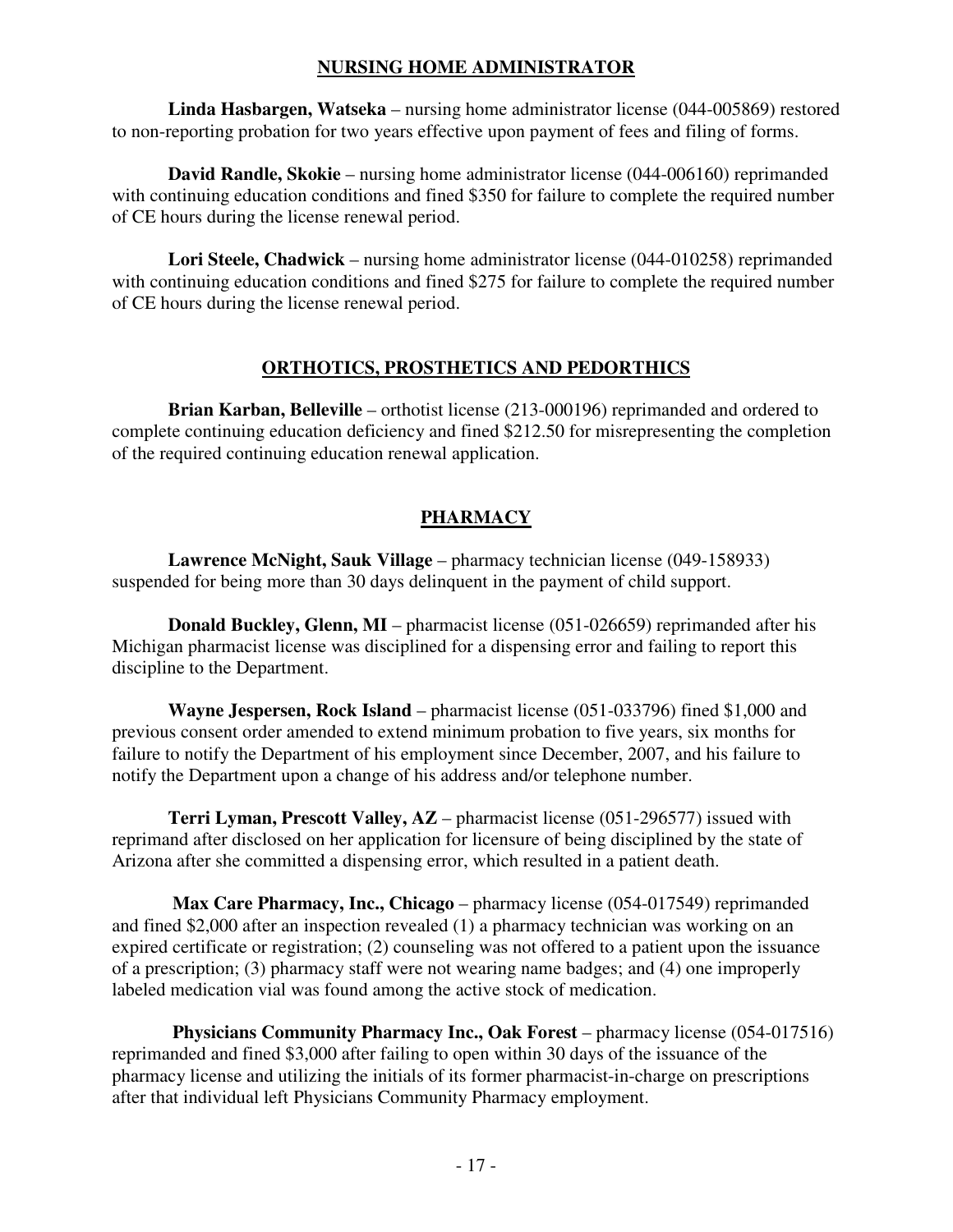#### **NURSING HOME ADMINISTRATOR**

**Linda Hasbargen, Watseka** – nursing home administrator license (044-005869) restored to non-reporting probation for two years effective upon payment of fees and filing of forms.

**David Randle, Skokie** – nursing home administrator license (044-006160) reprimanded with continuing education conditions and fined \$350 for failure to complete the required number of CE hours during the license renewal period.

**Lori Steele, Chadwick** – nursing home administrator license (044-010258) reprimanded with continuing education conditions and fined \$275 for failure to complete the required number of CE hours during the license renewal period.

#### **ORTHOTICS, PROSTHETICS AND PEDORTHICS**

**Brian Karban, Belleville** – orthotist license (213-000196) reprimanded and ordered to complete continuing education deficiency and fined \$212.50 for misrepresenting the completion of the required continuing education renewal application.

## **PHARMACY**

**Lawrence McNight, Sauk Village** – pharmacy technician license (049-158933) suspended for being more than 30 days delinquent in the payment of child support.

**Donald Buckley, Glenn, MI** – pharmacist license (051-026659) reprimanded after his Michigan pharmacist license was disciplined for a dispensing error and failing to report this discipline to the Department.

**Wayne Jespersen, Rock Island** – pharmacist license (051-033796) fined \$1,000 and previous consent order amended to extend minimum probation to five years, six months for failure to notify the Department of his employment since December, 2007, and his failure to notify the Department upon a change of his address and/or telephone number.

**Terri Lyman, Prescott Valley, AZ** – pharmacist license (051-296577) issued with reprimand after disclosed on her application for licensure of being disciplined by the state of Arizona after she committed a dispensing error, which resulted in a patient death.

**Max Care Pharmacy, Inc., Chicago** – pharmacy license (054-017549) reprimanded and fined \$2,000 after an inspection revealed (1) a pharmacy technician was working on an expired certificate or registration; (2) counseling was not offered to a patient upon the issuance of a prescription; (3) pharmacy staff were not wearing name badges; and (4) one improperly labeled medication vial was found among the active stock of medication.

**Physicians Community Pharmacy Inc., Oak Forest** – pharmacy license (054-017516) reprimanded and fined \$3,000 after failing to open within 30 days of the issuance of the pharmacy license and utilizing the initials of its former pharmacist-in-charge on prescriptions after that individual left Physicians Community Pharmacy employment.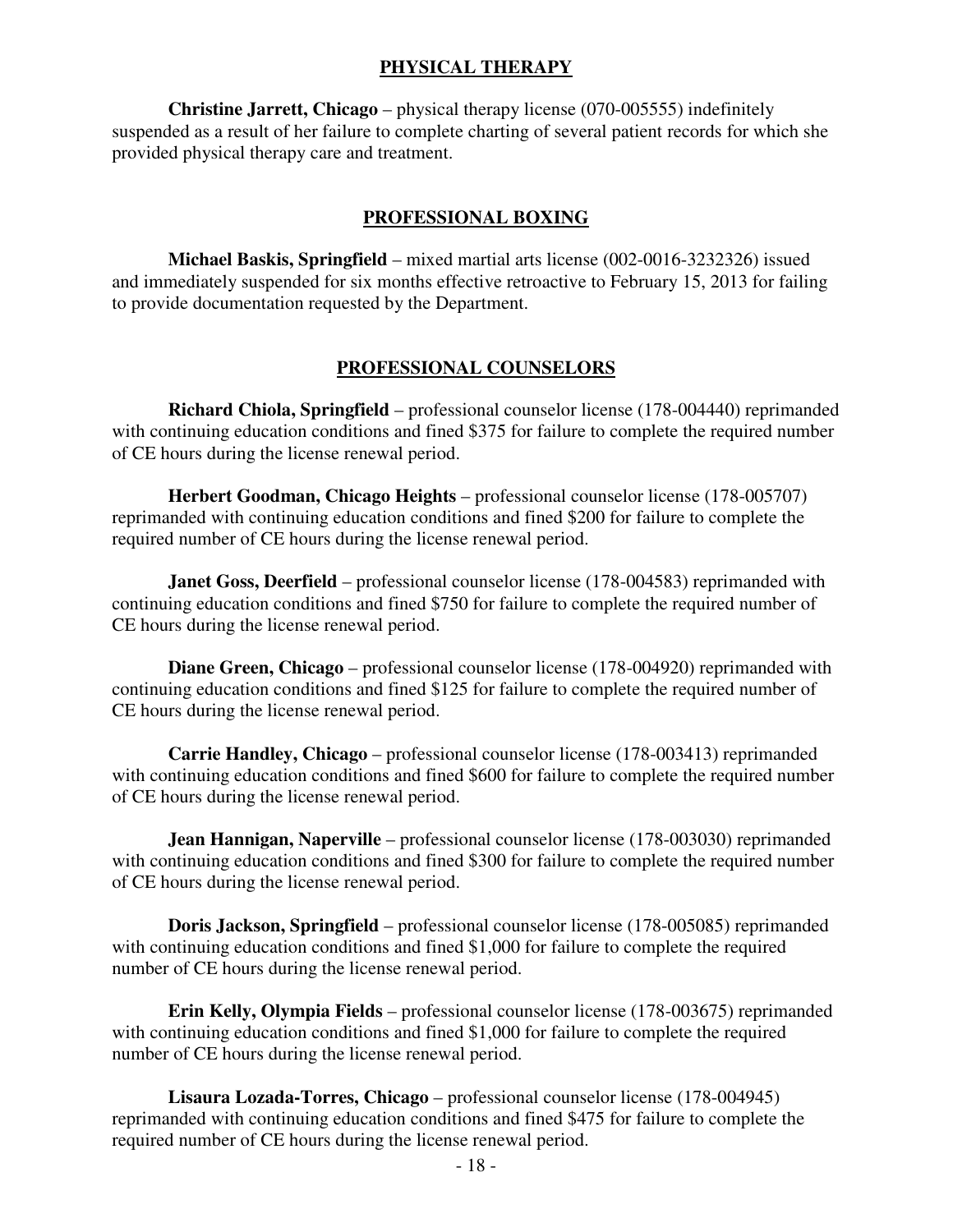#### **PHYSICAL THERAPY**

**Christine Jarrett, Chicago** – physical therapy license (070-005555) indefinitely suspended as a result of her failure to complete charting of several patient records for which she provided physical therapy care and treatment.

#### **PROFESSIONAL BOXING**

**Michael Baskis, Springfield** – mixed martial arts license (002-0016-3232326) issued and immediately suspended for six months effective retroactive to February 15, 2013 for failing to provide documentation requested by the Department.

#### **PROFESSIONAL COUNSELORS**

**Richard Chiola, Springfield** – professional counselor license (178-004440) reprimanded with continuing education conditions and fined \$375 for failure to complete the required number of CE hours during the license renewal period.

**Herbert Goodman, Chicago Heights** – professional counselor license (178-005707) reprimanded with continuing education conditions and fined \$200 for failure to complete the required number of CE hours during the license renewal period.

**Janet Goss, Deerfield** – professional counselor license (178-004583) reprimanded with continuing education conditions and fined \$750 for failure to complete the required number of CE hours during the license renewal period.

**Diane Green, Chicago** – professional counselor license (178-004920) reprimanded with continuing education conditions and fined \$125 for failure to complete the required number of CE hours during the license renewal period.

**Carrie Handley, Chicago** – professional counselor license (178-003413) reprimanded with continuing education conditions and fined \$600 for failure to complete the required number of CE hours during the license renewal period.

**Jean Hannigan, Naperville** – professional counselor license (178-003030) reprimanded with continuing education conditions and fined \$300 for failure to complete the required number of CE hours during the license renewal period.

**Doris Jackson, Springfield** – professional counselor license (178-005085) reprimanded with continuing education conditions and fined \$1,000 for failure to complete the required number of CE hours during the license renewal period.

**Erin Kelly, Olympia Fields** – professional counselor license (178-003675) reprimanded with continuing education conditions and fined \$1,000 for failure to complete the required number of CE hours during the license renewal period.

**Lisaura Lozada-Torres, Chicago** – professional counselor license (178-004945) reprimanded with continuing education conditions and fined \$475 for failure to complete the required number of CE hours during the license renewal period.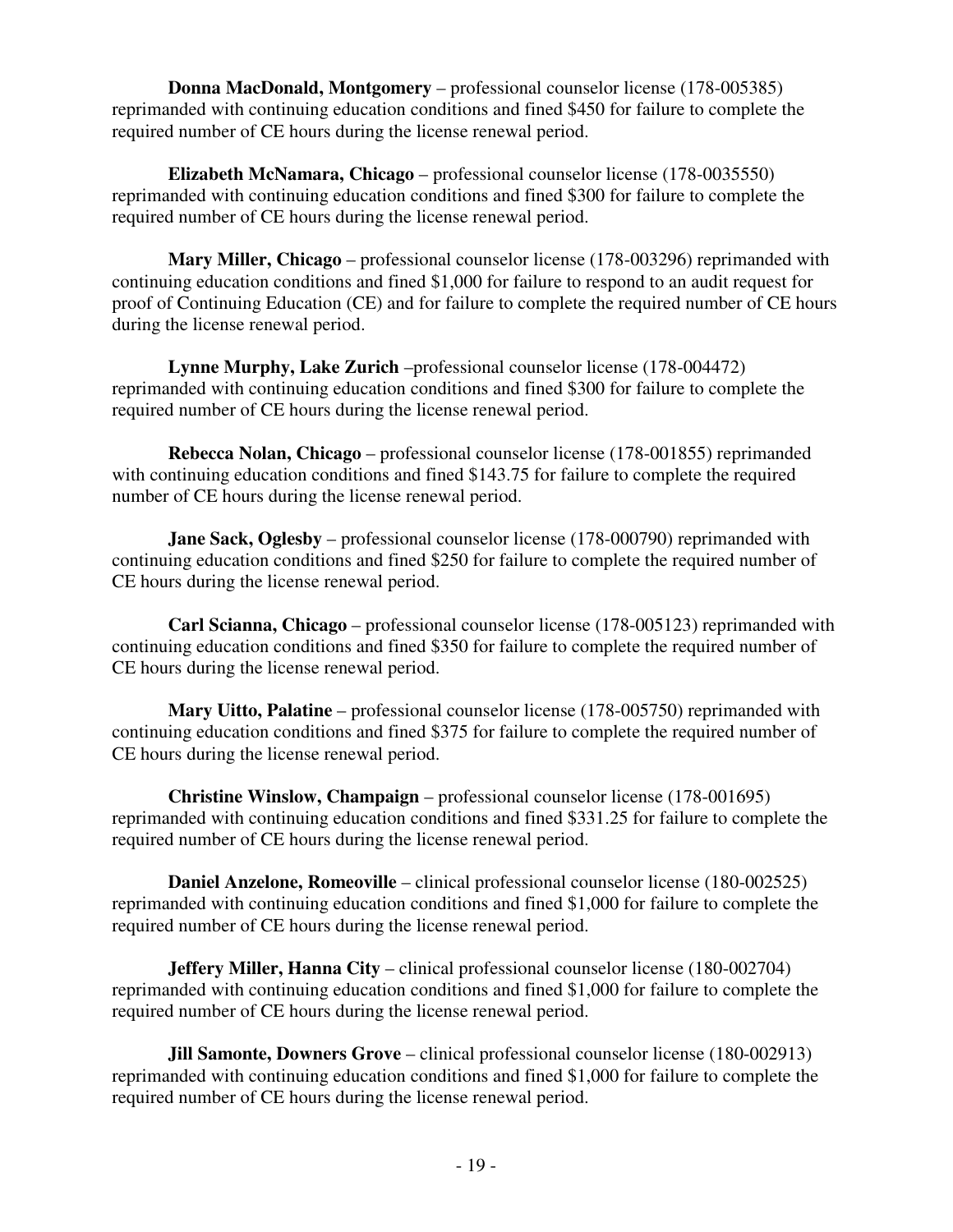**Donna MacDonald, Montgomery** – professional counselor license (178-005385) reprimanded with continuing education conditions and fined \$450 for failure to complete the required number of CE hours during the license renewal period.

**Elizabeth McNamara, Chicago** – professional counselor license (178-0035550) reprimanded with continuing education conditions and fined \$300 for failure to complete the required number of CE hours during the license renewal period.

**Mary Miller, Chicago** – professional counselor license (178-003296) reprimanded with continuing education conditions and fined \$1,000 for failure to respond to an audit request for proof of Continuing Education (CE) and for failure to complete the required number of CE hours during the license renewal period.

**Lynne Murphy, Lake Zurich** –professional counselor license (178-004472) reprimanded with continuing education conditions and fined \$300 for failure to complete the required number of CE hours during the license renewal period.

**Rebecca Nolan, Chicago** – professional counselor license (178-001855) reprimanded with continuing education conditions and fined \$143.75 for failure to complete the required number of CE hours during the license renewal period.

**Jane Sack, Oglesby** – professional counselor license (178-000790) reprimanded with continuing education conditions and fined \$250 for failure to complete the required number of CE hours during the license renewal period.

**Carl Scianna, Chicago** – professional counselor license (178-005123) reprimanded with continuing education conditions and fined \$350 for failure to complete the required number of CE hours during the license renewal period.

**Mary Uitto, Palatine** – professional counselor license (178-005750) reprimanded with continuing education conditions and fined \$375 for failure to complete the required number of CE hours during the license renewal period.

**Christine Winslow, Champaign** – professional counselor license (178-001695) reprimanded with continuing education conditions and fined \$331.25 for failure to complete the required number of CE hours during the license renewal period.

**Daniel Anzelone, Romeoville** – clinical professional counselor license (180-002525) reprimanded with continuing education conditions and fined \$1,000 for failure to complete the required number of CE hours during the license renewal period.

**Jeffery Miller, Hanna City** – clinical professional counselor license (180-002704) reprimanded with continuing education conditions and fined \$1,000 for failure to complete the required number of CE hours during the license renewal period.

**Jill Samonte, Downers Grove** – clinical professional counselor license (180-002913) reprimanded with continuing education conditions and fined \$1,000 for failure to complete the required number of CE hours during the license renewal period.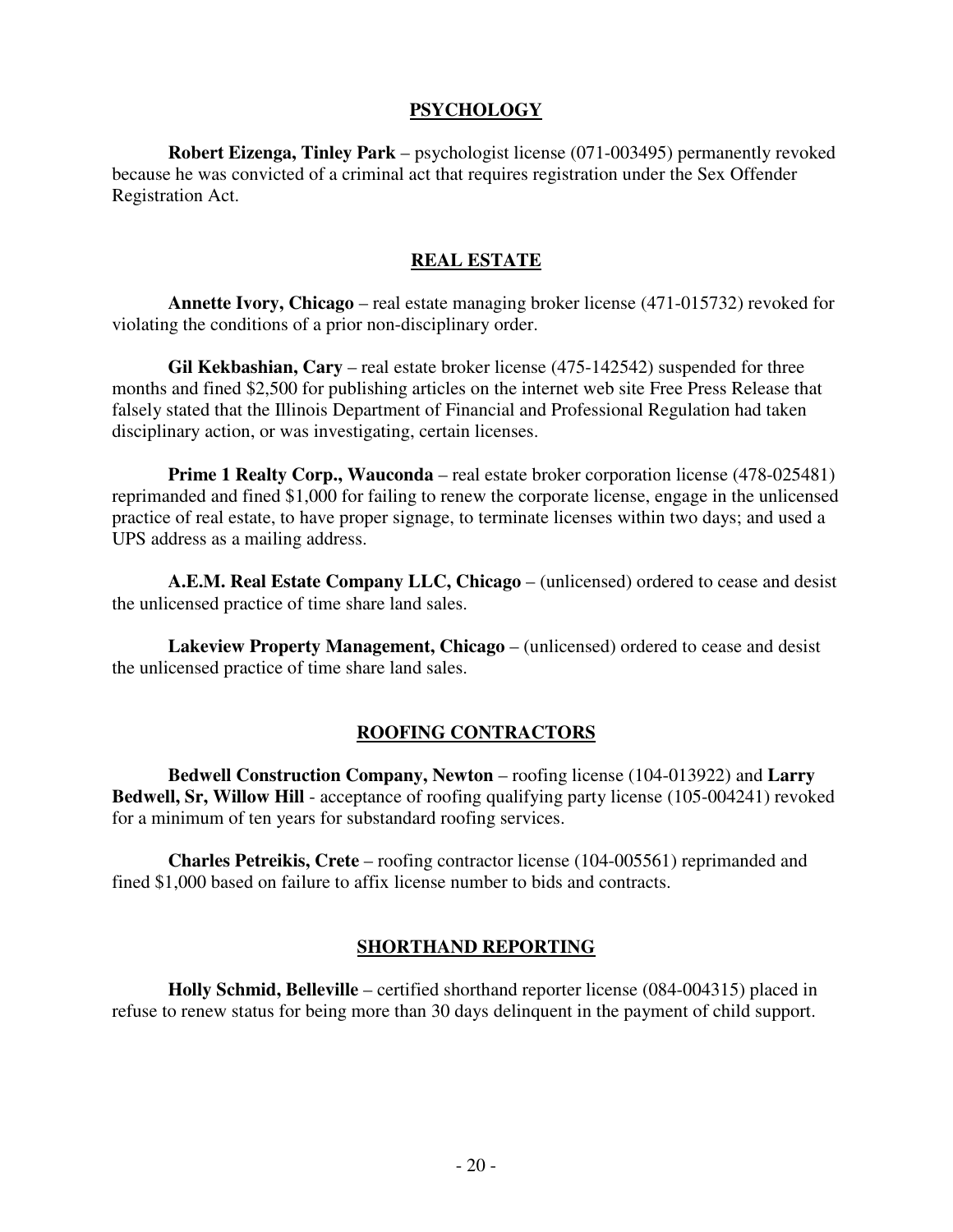#### **PSYCHOLOGY**

**Robert Eizenga, Tinley Park** – psychologist license (071-003495) permanently revoked because he was convicted of a criminal act that requires registration under the Sex Offender Registration Act.

#### **REAL ESTATE**

**Annette Ivory, Chicago** – real estate managing broker license (471-015732) revoked for violating the conditions of a prior non-disciplinary order.

 **Gil Kekbashian, Cary** – real estate broker license (475-142542) suspended for three months and fined \$2,500 for publishing articles on the internet web site Free Press Release that falsely stated that the Illinois Department of Financial and Professional Regulation had taken disciplinary action, or was investigating, certain licenses.

**Prime 1 Realty Corp., Wauconda** – real estate broker corporation license (478-025481) reprimanded and fined \$1,000 for failing to renew the corporate license, engage in the unlicensed practice of real estate, to have proper signage, to terminate licenses within two days; and used a UPS address as a mailing address.

**A.E.M. Real Estate Company LLC, Chicago** – (unlicensed) ordered to cease and desist the unlicensed practice of time share land sales.

**Lakeview Property Management, Chicago** – (unlicensed) ordered to cease and desist the unlicensed practice of time share land sales.

#### **ROOFING CONTRACTORS**

**Bedwell Construction Company, Newton** – roofing license (104-013922) and **Larry Bedwell, Sr, Willow Hill** - acceptance of roofing qualifying party license (105-004241) revoked for a minimum of ten years for substandard roofing services.

**Charles Petreikis, Crete** – roofing contractor license (104-005561) reprimanded and fined \$1,000 based on failure to affix license number to bids and contracts.

#### **SHORTHAND REPORTING**

**Holly Schmid, Belleville** – certified shorthand reporter license (084-004315) placed in refuse to renew status for being more than 30 days delinquent in the payment of child support.